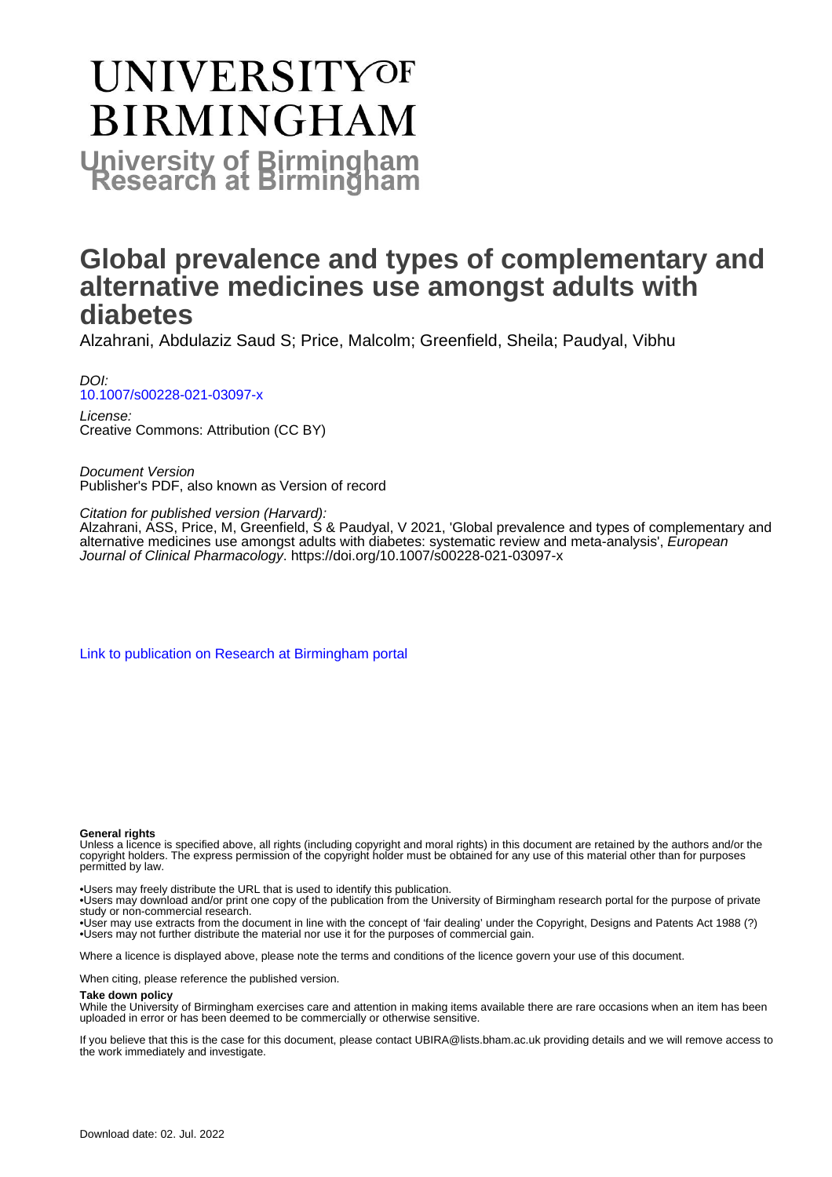# **UNIVERSITYOF BIRMINGHAM University of Birmingham**

# **Global prevalence and types of complementary and alternative medicines use amongst adults with diabetes**

Alzahrani, Abdulaziz Saud S; Price, Malcolm; Greenfield, Sheila; Paudyal, Vibhu

DOI: [10.1007/s00228-021-03097-x](https://doi.org/10.1007/s00228-021-03097-x)

License: Creative Commons: Attribution (CC BY)

Document Version Publisher's PDF, also known as Version of record

Citation for published version (Harvard):

Alzahrani, ASS, Price, M, Greenfield, S & Paudyal, V 2021, 'Global prevalence and types of complementary and alternative medicines use amongst adults with diabetes: systematic review and meta-analysis', European Journal of Clinical Pharmacology.<https://doi.org/10.1007/s00228-021-03097-x>

[Link to publication on Research at Birmingham portal](https://birmingham.elsevierpure.com/en/publications/1a29b3bc-5d95-44df-a83d-695e814f8de4)

#### **General rights**

Unless a licence is specified above, all rights (including copyright and moral rights) in this document are retained by the authors and/or the copyright holders. The express permission of the copyright holder must be obtained for any use of this material other than for purposes permitted by law.

• Users may freely distribute the URL that is used to identify this publication.

• Users may download and/or print one copy of the publication from the University of Birmingham research portal for the purpose of private study or non-commercial research.

• User may use extracts from the document in line with the concept of 'fair dealing' under the Copyright, Designs and Patents Act 1988 (?) • Users may not further distribute the material nor use it for the purposes of commercial gain.

Where a licence is displayed above, please note the terms and conditions of the licence govern your use of this document.

When citing, please reference the published version.

#### **Take down policy**

While the University of Birmingham exercises care and attention in making items available there are rare occasions when an item has been uploaded in error or has been deemed to be commercially or otherwise sensitive.

If you believe that this is the case for this document, please contact UBIRA@lists.bham.ac.uk providing details and we will remove access to the work immediately and investigate.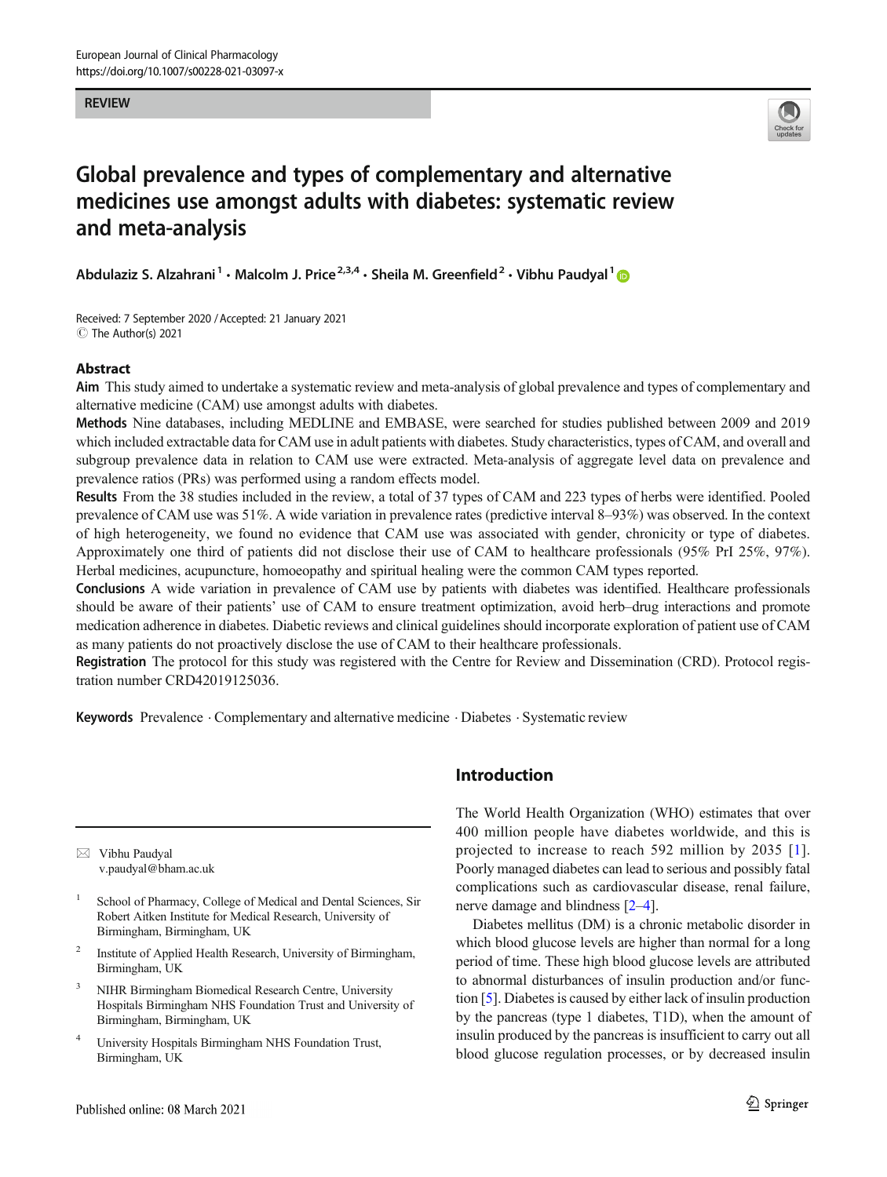REVIEW



# Global prevalence and types of complementary and alternative medicines use amongst adults with diabetes: systematic review and meta-analysis

Abdulaziz S. Alzahrani<sup>1</sup> · Malcolm J. Price<sup>2,3,4</sup> · Sheila M. Greenfield<sup>2</sup> · Vibhu Paudyal<sup>1</sup>

Received: 7 September 2020 /Accepted: 21 January 2021  $\circledcirc$  The Author(s) 2021

# Abstract

Aim This study aimed to undertake a systematic review and meta-analysis of global prevalence and types of complementary and alternative medicine (CAM) use amongst adults with diabetes.

Methods Nine databases, including MEDLINE and EMBASE, were searched for studies published between 2009 and 2019 which included extractable data for CAM use in adult patients with diabetes. Study characteristics, types of CAM, and overall and subgroup prevalence data in relation to CAM use were extracted. Meta-analysis of aggregate level data on prevalence and prevalence ratios (PRs) was performed using a random effects model.

Results From the 38 studies included in the review, a total of 37 types of CAM and 223 types of herbs were identified. Pooled prevalence of CAM use was 51%. A wide variation in prevalence rates (predictive interval 8–93%) was observed. In the context of high heterogeneity, we found no evidence that CAM use was associated with gender, chronicity or type of diabetes. Approximately one third of patients did not disclose their use of CAM to healthcare professionals (95% PrI 25%, 97%). Herbal medicines, acupuncture, homoeopathy and spiritual healing were the common CAM types reported.

Conclusions A wide variation in prevalence of CAM use by patients with diabetes was identified. Healthcare professionals should be aware of their patients' use of CAM to ensure treatment optimization, avoid herb–drug interactions and promote medication adherence in diabetes. Diabetic reviews and clinical guidelines should incorporate exploration of patient use of CAM as many patients do not proactively disclose the use of CAM to their healthcare professionals.

**Registration** The protocol for this study was registered with the Centre for Review and Dissemination (CRD). Protocol registration number CRD42019125036.

Keywords Prevalence . Complementary and alternative medicine . Diabetes . Systematic review

 $\boxtimes$  Vibhu Paudyal [v.paudyal@bham.ac.uk](mailto:v.paudyal@bham.ac.uk)

- School of Pharmacy, College of Medical and Dental Sciences, Sir Robert Aitken Institute for Medical Research, University of Birmingham, Birmingham, UK
- <sup>2</sup> Institute of Applied Health Research, University of Birmingham, Birmingham, UK
- <sup>3</sup> NIHR Birmingham Biomedical Research Centre, University Hospitals Birmingham NHS Foundation Trust and University of Birmingham, Birmingham, UK
- <sup>4</sup> University Hospitals Birmingham NHS Foundation Trust, Birmingham, UK

# Introduction

The World Health Organization (WHO) estimates that over 400 million people have diabetes worldwide, and this is projected to increase to reach 592 million by 2035 [[1](#page-14-0)]. Poorly managed diabetes can lead to serious and possibly fatal complications such as cardiovascular disease, renal failure, nerve damage and blindness [\[2](#page-14-0)–[4\]](#page-14-0).

Diabetes mellitus (DM) is a chronic metabolic disorder in which blood glucose levels are higher than normal for a long period of time. These high blood glucose levels are attributed to abnormal disturbances of insulin production and/or function [\[5](#page-14-0)]. Diabetes is caused by either lack of insulin production by the pancreas (type 1 diabetes, T1D), when the amount of insulin produced by the pancreas is insufficient to carry out all blood glucose regulation processes, or by decreased insulin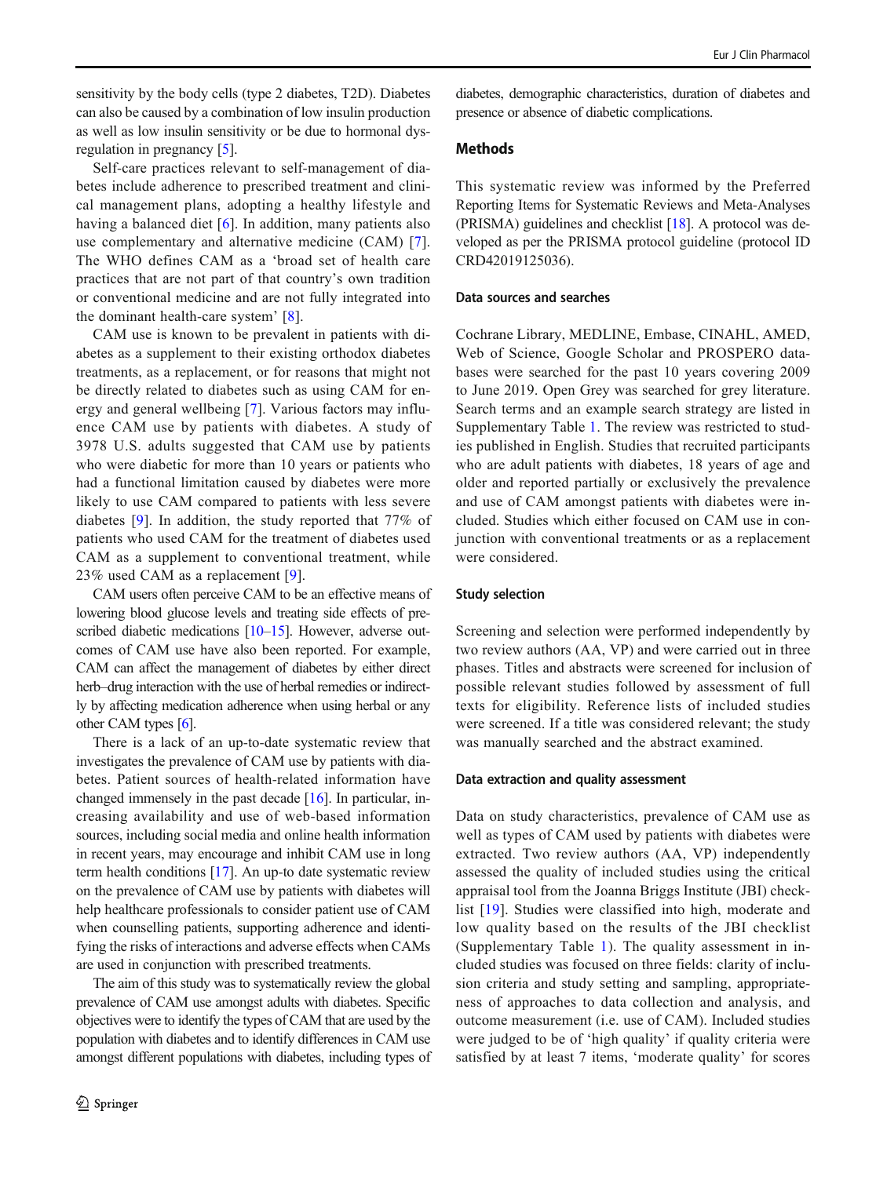sensitivity by the body cells (type 2 diabetes, T2D). Diabetes can also be caused by a combination of low insulin production as well as low insulin sensitivity or be due to hormonal dysregulation in pregnancy [\[5](#page-14-0)].

Self-care practices relevant to self-management of diabetes include adherence to prescribed treatment and clinical management plans, adopting a healthy lifestyle and having a balanced diet [\[6](#page-14-0)]. In addition, many patients also use complementary and alternative medicine (CAM) [\[7](#page-14-0)]. The WHO defines CAM as a 'broad set of health care practices that are not part of that country's own tradition or conventional medicine and are not fully integrated into the dominant health-care system' [[8](#page-14-0)].

CAM use is known to be prevalent in patients with diabetes as a supplement to their existing orthodox diabetes treatments, as a replacement, or for reasons that might not be directly related to diabetes such as using CAM for energy and general wellbeing [[7\]](#page-14-0). Various factors may influence CAM use by patients with diabetes. A study of 3978 U.S. adults suggested that CAM use by patients who were diabetic for more than 10 years or patients who had a functional limitation caused by diabetes were more likely to use CAM compared to patients with less severe diabetes [[9\]](#page-14-0). In addition, the study reported that 77% of patients who used CAM for the treatment of diabetes used CAM as a supplement to conventional treatment, while 23% used CAM as a replacement [\[9\]](#page-14-0).

CAM users often perceive CAM to be an effective means of lowering blood glucose levels and treating side effects of pre-scribed diabetic medications [\[10](#page-14-0)–[15](#page-14-0)]. However, adverse outcomes of CAM use have also been reported. For example, CAM can affect the management of diabetes by either direct herb–drug interaction with the use of herbal remedies or indirectly by affecting medication adherence when using herbal or any other CAM types [\[6\]](#page-14-0).

There is a lack of an up-to-date systematic review that investigates the prevalence of CAM use by patients with diabetes. Patient sources of health-related information have changed immensely in the past decade [[16](#page-15-0)]. In particular, increasing availability and use of web-based information sources, including social media and online health information in recent years, may encourage and inhibit CAM use in long term health conditions [\[17\]](#page-15-0). An up-to date systematic review on the prevalence of CAM use by patients with diabetes will help healthcare professionals to consider patient use of CAM when counselling patients, supporting adherence and identifying the risks of interactions and adverse effects when CAMs are used in conjunction with prescribed treatments.

The aim of this study was to systematically review the global prevalence of CAM use amongst adults with diabetes. Specific objectives were to identify the types of CAM that are used by the population with diabetes and to identify differences in CAM use amongst different populations with diabetes, including types of

diabetes, demographic characteristics, duration of diabetes and presence or absence of diabetic complications.

# Methods

This systematic review was informed by the Preferred Reporting Items for Systematic Reviews and Meta-Analyses (PRISMA) guidelines and checklist [\[18\]](#page-15-0). A protocol was developed as per the PRISMA protocol guideline (protocol ID CRD42019125036).

## Data sources and searches

Cochrane Library, MEDLINE, Embase, CINAHL, AMED, Web of Science, Google Scholar and PROSPERO databases were searched for the past 10 years covering 2009 to June 2019. Open Grey was searched for grey literature. Search terms and an example search strategy are listed in Supplementary Table 1. The review was restricted to studies published in English. Studies that recruited participants who are adult patients with diabetes, 18 years of age and older and reported partially or exclusively the prevalence and use of CAM amongst patients with diabetes were included. Studies which either focused on CAM use in conjunction with conventional treatments or as a replacement were considered.

# Study selection

Screening and selection were performed independently by two review authors (AA, VP) and were carried out in three phases. Titles and abstracts were screened for inclusion of possible relevant studies followed by assessment of full texts for eligibility. Reference lists of included studies were screened. If a title was considered relevant; the study was manually searched and the abstract examined.

# Data extraction and quality assessment

Data on study characteristics, prevalence of CAM use as well as types of CAM used by patients with diabetes were extracted. Two review authors (AA, VP) independently assessed the quality of included studies using the critical appraisal tool from the Joanna Briggs Institute (JBI) checklist [[19\]](#page-15-0). Studies were classified into high, moderate and low quality based on the results of the JBI checklist (Supplementary Table 1). The quality assessment in included studies was focused on three fields: clarity of inclusion criteria and study setting and sampling, appropriateness of approaches to data collection and analysis, and outcome measurement (i.e. use of CAM). Included studies were judged to be of 'high quality' if quality criteria were satisfied by at least 7 items, 'moderate quality' for scores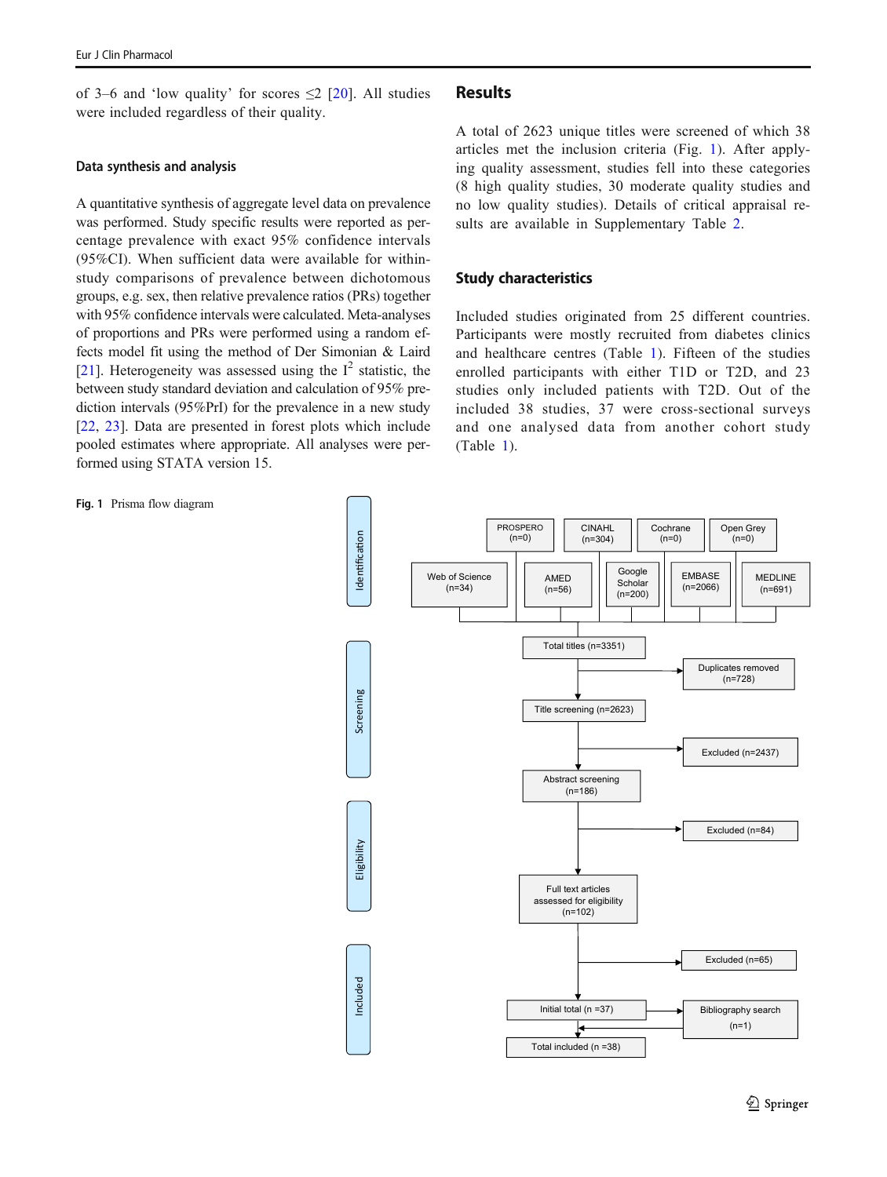of 3–6 and 'low quality' for scores  $\leq$  [[20\]](#page-15-0). All studies were included regardless of their quality.

#### Data synthesis and analysis

A quantitative synthesis of aggregate level data on prevalence was performed. Study specific results were reported as percentage prevalence with exact 95% confidence intervals (95%CI). When sufficient data were available for withinstudy comparisons of prevalence between dichotomous groups, e.g. sex, then relative prevalence ratios (PRs) together with 95% confidence intervals were calculated. Meta-analyses of proportions and PRs were performed using a random effects model fit using the method of Der Simonian & Laird [\[21](#page-15-0)]. Heterogeneity was assessed using the  $I^2$  statistic, the between study standard deviation and calculation of 95% prediction intervals (95%PrI) for the prevalence in a new study [\[22](#page-15-0), [23\]](#page-15-0). Data are presented in forest plots which include pooled estimates where appropriate. All analyses were performed using STATA version 15.

# Results

A total of 2623 unique titles were screened of which 38 articles met the inclusion criteria (Fig. 1). After applying quality assessment, studies fell into these categories (8 high quality studies, 30 moderate quality studies and no low quality studies). Details of critical appraisal results are available in Supplementary Table 2.

## Study characteristics

Included studies originated from 25 different countries. Participants were mostly recruited from diabetes clinics and healthcare centres (Table [1\)](#page-4-0). Fifteen of the studies enrolled participants with either T1D or T2D, and 23 studies only included patients with T2D. Out of the included 38 studies, 37 were cross-sectional surveys and one analysed data from another cohort study (Table [1\)](#page-4-0).



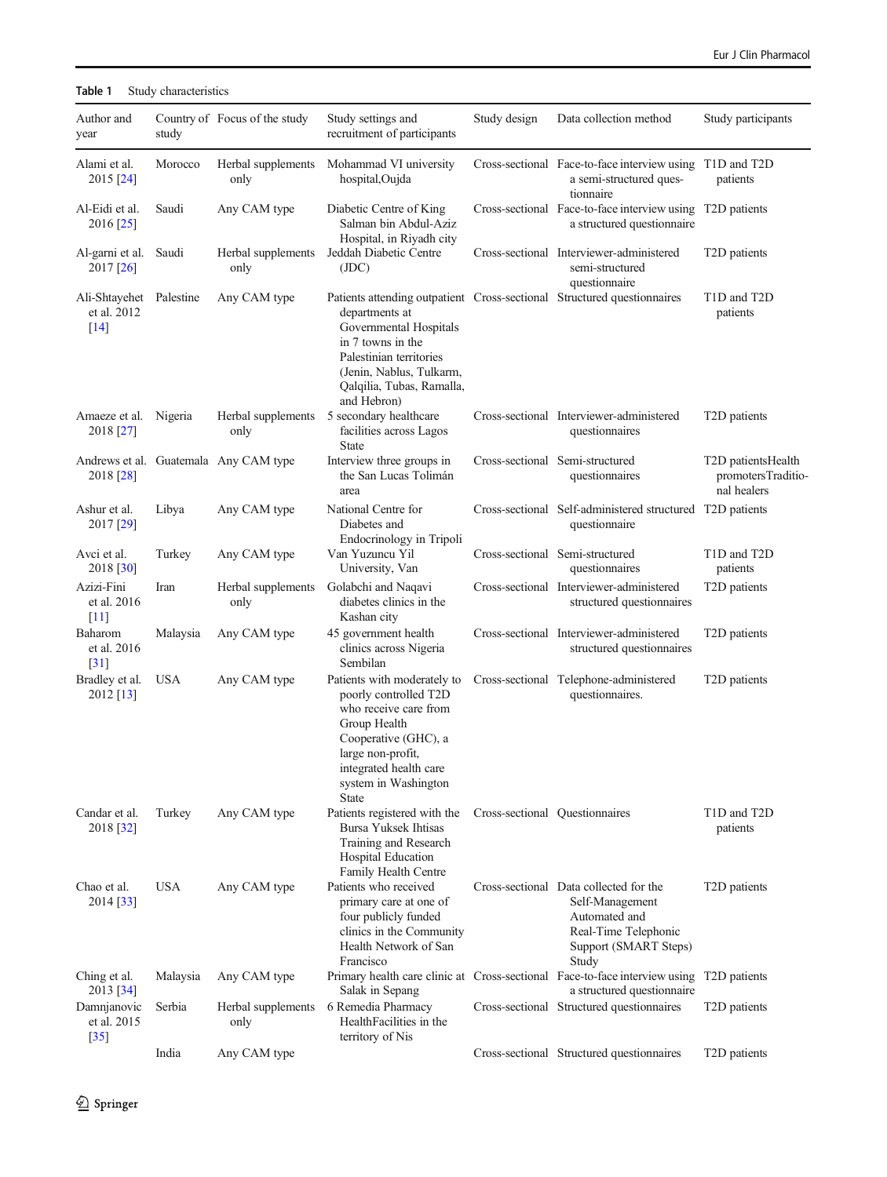# <span id="page-4-0"></span>Table 1 Study characteristics

| Author and<br>year                               | study      | Country of Focus of the study         | Study settings and<br>recruitment of participants                                                                                                                                                                                           | Study design | Data collection method                                                                                                               | Study participants                                      |
|--------------------------------------------------|------------|---------------------------------------|---------------------------------------------------------------------------------------------------------------------------------------------------------------------------------------------------------------------------------------------|--------------|--------------------------------------------------------------------------------------------------------------------------------------|---------------------------------------------------------|
| Alami et al.<br>2015 [24]                        | Morocco    | Herbal supplements<br>only            | Mohammad VI university<br>hospital, Oujda                                                                                                                                                                                                   |              | Cross-sectional Face-to-face interview using T1D and T2D<br>a semi-structured ques-<br>tionnaire                                     | patients                                                |
| Al-Eidi et al.<br>2016 [25]                      | Saudi      | Any CAM type                          | Diabetic Centre of King<br>Salman bin Abdul-Aziz<br>Hospital, in Riyadh city                                                                                                                                                                |              | Cross-sectional Face-to-face interview using T2D patients<br>a structured questionnaire                                              |                                                         |
| Al-garni et al.<br>2017 [26]                     | Saudi      | Herbal supplements<br>only            | Jeddah Diabetic Centre<br>(JDC)                                                                                                                                                                                                             |              | Cross-sectional Interviewer-administered<br>semi-structured<br>questionnaire                                                         | T <sub>2</sub> D patients                               |
| Ali-Shtayehet Palestine<br>et al. 2012<br>$[14]$ |            | Any CAM type                          | Patients attending outpatient Cross-sectional Structured questionnaires<br>departments at<br>Governmental Hospitals<br>in 7 towns in the<br>Palestinian territories<br>(Jenin, Nablus, Tulkarm,<br>Qalqilia, Tubas, Ramalla,<br>and Hebron) |              |                                                                                                                                      | T1D and T2D<br>patients                                 |
| Amaeze et al.<br>2018 [27]                       | Nigeria    | Herbal supplements<br>only            | 5 secondary healthcare<br>facilities across Lagos<br>State                                                                                                                                                                                  |              | Cross-sectional Interviewer-administered<br>questionnaires                                                                           | T <sub>2</sub> D patients                               |
| 2018 [28]                                        |            | Andrews et al. Guatemala Any CAM type | Interview three groups in<br>the San Lucas Tolimán<br>area                                                                                                                                                                                  |              | Cross-sectional Semi-structured<br>questionnaires                                                                                    | T2D patientsHealth<br>promotersTraditio-<br>nal healers |
| Ashur et al.<br>2017 [29]                        | Libya      | Any CAM type                          | National Centre for<br>Diabetes and<br>Endocrinology in Tripoli                                                                                                                                                                             |              | Cross-sectional Self-administered structured T2D patients<br>questionnaire                                                           |                                                         |
| Avci et al.<br>2018 [30]                         | Turkey     | Any CAM type                          | Van Yuzuncu Yil<br>University, Van                                                                                                                                                                                                          |              | Cross-sectional Semi-structured<br>questionnaires                                                                                    | T1D and T2D<br>patients                                 |
| Azizi-Fini<br>et al. 2016<br>$[11]$              | Iran       | Herbal supplements<br>only            | Golabchi and Naqavi<br>diabetes clinics in the<br>Kashan city                                                                                                                                                                               |              | Cross-sectional Interviewer-administered<br>structured questionnaires                                                                | T2D patients                                            |
| Baharom<br>et al. 2016<br>$\lceil 31 \rceil$     | Malaysia   | Any CAM type                          | 45 government health<br>clinics across Nigeria<br>Sembilan                                                                                                                                                                                  |              | Cross-sectional Interviewer-administered<br>structured questionnaires                                                                | T <sub>2</sub> D patients                               |
| Bradley et al.<br>2012 [13]                      | <b>USA</b> | Any CAM type                          | Patients with moderately to<br>poorly controlled T2D<br>who receive care from<br>Group Health<br>Cooperative (GHC), a<br>large non-profit,<br>integrated health care<br>system in Washington<br><b>State</b>                                |              | Cross-sectional Telephone-administered<br>questionnaires.                                                                            | T <sub>2</sub> D patients                               |
| Candar et al.<br>2018 [32]                       | Turkey     | Any CAM type                          | Patients registered with the<br>Bursa Yuksek Ihtisas<br>Training and Research<br>Hospital Education<br>Family Health Centre                                                                                                                 |              | Cross-sectional Questionnaires                                                                                                       | T1D and T2D<br>patients                                 |
| Chao et al.<br>2014 [33]                         | <b>USA</b> | Any CAM type                          | Patients who received<br>primary care at one of<br>four publicly funded<br>clinics in the Community<br>Health Network of San<br>Francisco                                                                                                   |              | Cross-sectional Data collected for the<br>Self-Management<br>Automated and<br>Real-Time Telephonic<br>Support (SMART Steps)<br>Study | T <sub>2</sub> D patients                               |
| Ching et al.<br>2013 [34]                        | Malaysia   | Any CAM type                          | Salak in Sepang                                                                                                                                                                                                                             |              | Primary health care clinic at Cross-sectional Face-to-face interview using T2D patients<br>a structured questionnaire                |                                                         |
| Damnjanovic<br>et al. 2015<br>$[35]$             | Serbia     | Herbal supplements<br>only            | 6 Remedia Pharmacy<br>HealthFacilities in the<br>territory of Nis                                                                                                                                                                           |              | Cross-sectional Structured questionnaires                                                                                            | T <sub>2</sub> D patients                               |
|                                                  | India      | Any CAM type                          |                                                                                                                                                                                                                                             |              | Cross-sectional Structured questionnaires                                                                                            | T <sub>2</sub> D patients                               |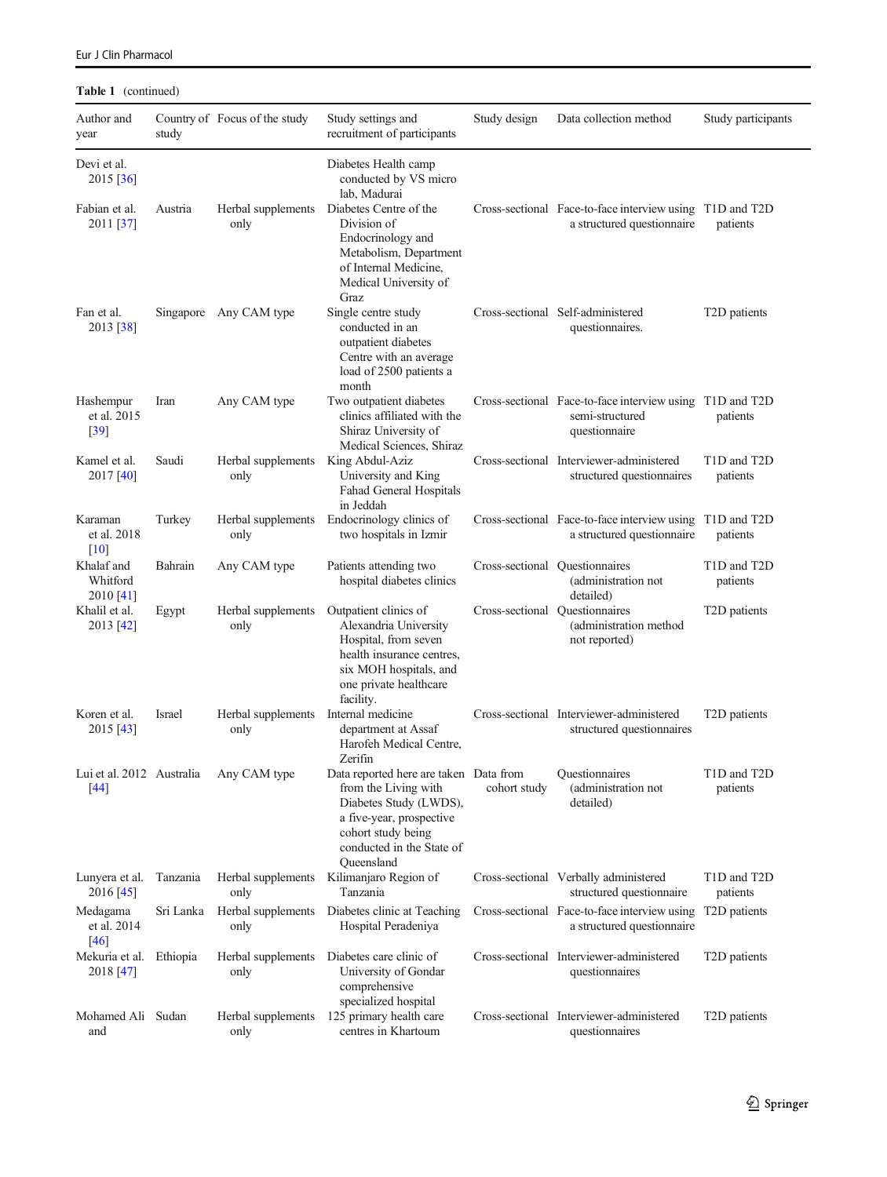| Author and<br>year                  | study         | Country of Focus of the study                | Study settings and<br>recruitment of participants                                                                                                                                     | Study design                   | Data collection method                                                                       | Study participants        |
|-------------------------------------|---------------|----------------------------------------------|---------------------------------------------------------------------------------------------------------------------------------------------------------------------------------------|--------------------------------|----------------------------------------------------------------------------------------------|---------------------------|
| Devi et al.<br>2015 [36]            |               |                                              | Diabetes Health camp<br>conducted by VS micro<br>lab, Madurai                                                                                                                         |                                |                                                                                              |                           |
| Fabian et al.<br>2011 [37]          | Austria       | Herbal supplements<br>only                   | Diabetes Centre of the<br>Division of<br>Endocrinology and<br>Metabolism, Department<br>of Internal Medicine,<br>Medical University of<br>Graz                                        |                                | Cross-sectional Face-to-face interview using T1D and T2D<br>a structured questionnaire       | patients                  |
| Fan et al.<br>2013 [38]             | Singapore     | Any CAM type                                 | Single centre study<br>conducted in an<br>outpatient diabetes<br>Centre with an average<br>load of 2500 patients a<br>month                                                           |                                | Cross-sectional Self-administered<br>questionnaires.                                         | T <sub>2</sub> D patients |
| Hashempur<br>et al. 2015<br>$[39]$  | Iran          | Any CAM type                                 | Two outpatient diabetes<br>clinics affiliated with the<br>Shiraz University of<br>Medical Sciences, Shiraz                                                                            |                                | Cross-sectional Face-to-face interview using T1D and T2D<br>semi-structured<br>questionnaire | patients                  |
| Kamel et al.<br>2017 [40]           | Saudi         | Herbal supplements<br>only                   | King Abdul-Aziz<br>University and King<br>Fahad General Hospitals<br>in Jeddah                                                                                                        |                                | Cross-sectional Interviewer-administered<br>structured questionnaires                        | T1D and T2D<br>patients   |
| Karaman<br>et al. 2018<br>[10]      | Turkey        | Herbal supplements<br>only                   | Endocrinology clinics of<br>two hospitals in Izmir                                                                                                                                    |                                | Cross-sectional Face-to-face interview using T1D and T2D<br>a structured questionnaire       | patients                  |
| Khalaf and<br>Whitford<br>2010 [41] | Bahrain       | Any CAM type                                 | Patients attending two<br>hospital diabetes clinics                                                                                                                                   | Cross-sectional Questionnaires | (administration not<br>detailed)                                                             | T1D and T2D<br>patients   |
| Khalil et al.<br>2013 [42]          | Egypt         | Herbal supplements<br>only                   | Outpatient clinics of<br>Alexandria University<br>Hospital, from seven<br>health insurance centres,<br>six MOH hospitals, and<br>one private healthcare<br>facility.                  | Cross-sectional Questionnaires | (administration method<br>not reported)                                                      | T <sub>2</sub> D patients |
| Koren et al.<br>2015 [43]           | <b>Israel</b> | Herbal supplements Internal medicine<br>only | department at Assaf<br>Harofeh Medical Centre,<br>Zerifin                                                                                                                             |                                | Cross-sectional Interviewer-administered<br>structured questionnaires                        | T <sub>2</sub> D patients |
| Lui et al. 2012 Australia<br>[44]   |               | Any CAM type                                 | Data reported here are taken Data from<br>from the Living with<br>Diabetes Study (LWDS),<br>a five-year, prospective<br>cohort study being<br>conducted in the State of<br>Queensland | cohort study                   | Questionnaires<br>(administration not<br>detailed)                                           | T1D and T2D<br>patients   |
| Lunyera et al.<br>2016 [45]         | Tanzania      | Herbal supplements<br>only                   | Kilimanjaro Region of<br>Tanzania                                                                                                                                                     |                                | Cross-sectional Verbally administered<br>structured questionnaire                            | T1D and T2D<br>patients   |
| Medagama<br>et al. 2014<br>[46]     | Sri Lanka     | Herbal supplements<br>only                   | Diabetes clinic at Teaching<br>Hospital Peradeniya                                                                                                                                    |                                | Cross-sectional Face-to-face interview using<br>a structured questionnaire                   | T <sub>2</sub> D patients |
| Mekuria et al.<br>2018 [47]         | Ethiopia      | Herbal supplements<br>only                   | Diabetes care clinic of<br>University of Gondar<br>comprehensive<br>specialized hospital                                                                                              |                                | Cross-sectional Interviewer-administered<br>questionnaires                                   | T <sub>2</sub> D patients |
| Mohamed Ali Sudan<br>and            |               | Herbal supplements<br>only                   | 125 primary health care<br>centres in Khartoum                                                                                                                                        |                                | Cross-sectional Interviewer-administered<br>questionnaires                                   | T <sub>2</sub> D patients |

# Table 1 (continued)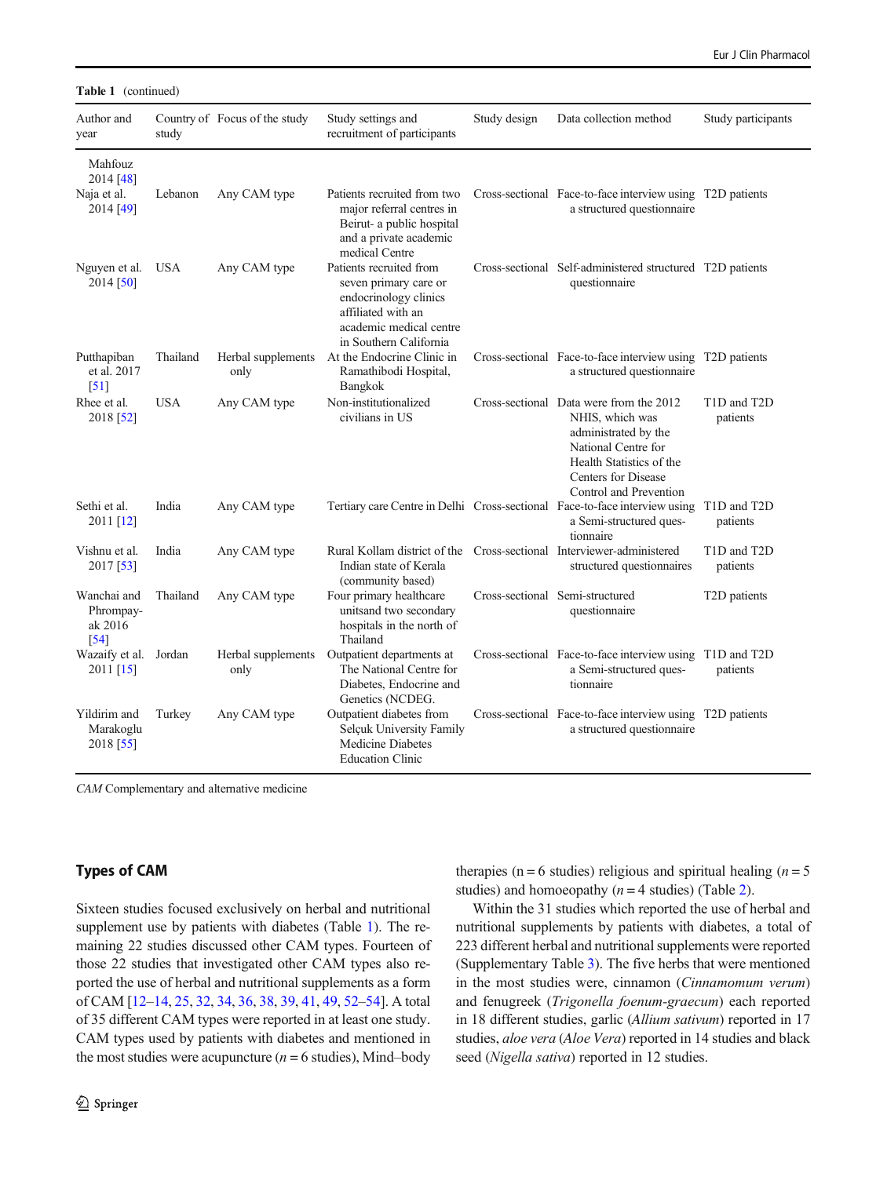Table 1 (continued)

| Author and<br>year                          | study      | Country of Focus of the study | Study settings and<br>recruitment of participants                                                                                                    | Study design | Data collection method                                                                                                                                                                 | Study participants        |
|---------------------------------------------|------------|-------------------------------|------------------------------------------------------------------------------------------------------------------------------------------------------|--------------|----------------------------------------------------------------------------------------------------------------------------------------------------------------------------------------|---------------------------|
| Mahfouz<br>2014 [48]                        |            |                               |                                                                                                                                                      |              |                                                                                                                                                                                        |                           |
| Naja et al.<br>2014 [49]                    | Lebanon    | Any CAM type                  | Patients recruited from two<br>major referral centres in<br>Beirut- a public hospital<br>and a private academic<br>medical Centre                    |              | Cross-sectional Face-to-face interview using T2D patients<br>a structured questionnaire                                                                                                |                           |
| Nguyen et al.<br>2014 [50]                  | <b>USA</b> | Any CAM type                  | Patients recruited from<br>seven primary care or<br>endocrinology clinics<br>affiliated with an<br>academic medical centre<br>in Southern California |              | Cross-sectional Self-administered structured T2D patients<br>questionnaire                                                                                                             |                           |
| Putthapiban<br>et al. 2017<br>[51]          | Thailand   | Herbal supplements<br>only    | At the Endocrine Clinic in<br>Ramathibodi Hospital,<br>Bangkok                                                                                       |              | Cross-sectional Face-to-face interview using T2D patients<br>a structured questionnaire                                                                                                |                           |
| Rhee et al.<br>2018 [52]                    | <b>USA</b> | Any CAM type                  | Non-institutionalized<br>civilians in US                                                                                                             |              | Cross-sectional Data were from the 2012<br>NHIS, which was<br>administrated by the<br>National Centre for<br>Health Statistics of the<br>Centers for Disease<br>Control and Prevention | T1D and T2D<br>patients   |
| Sethi et al.<br>2011 [12]                   | India      | Any CAM type                  |                                                                                                                                                      |              | Tertiary care Centre in Delhi Cross-sectional Face-to-face interview using T1D and T2D<br>a Semi-structured ques-<br>tionnaire                                                         | patients                  |
| Vishnu et al.<br>2017 [53]                  | India      | Any CAM type                  | Rural Kollam district of the Cross-sectional Interviewer-administered<br>Indian state of Kerala<br>(community based)                                 |              | structured questionnaires                                                                                                                                                              | T1D and T2D<br>patients   |
| Wanchai and<br>Phrompay-<br>ak 2016<br>[54] | Thailand   | Any CAM type                  | Four primary healthcare<br>unitsand two secondary<br>hospitals in the north of<br>Thailand                                                           |              | Cross-sectional Semi-structured<br>questionnaire                                                                                                                                       | T <sub>2</sub> D patients |
| Wazaify et al. Jordan<br>$2011$ [15]        |            | Herbal supplements<br>only    | Outpatient departments at<br>The National Centre for<br>Diabetes, Endocrine and<br>Genetics (NCDEG.                                                  |              | Cross-sectional Face-to-face interview using T1D and T2D<br>a Semi-structured ques-<br>tionnaire                                                                                       | patients                  |
| Yildirim and<br>Marakoglu<br>2018 [55]      | Turkey     | Any CAM type                  | Outpatient diabetes from<br>Selçuk University Family<br>Medicine Diabetes<br><b>Education Clinic</b>                                                 |              | Cross-sectional Face-to-face interview using T2D patients<br>a structured questionnaire                                                                                                |                           |

CAM Complementary and alternative medicine

# Types of CAM

Sixteen studies focused exclusively on herbal and nutritional supplement use by patients with diabetes (Table [1](#page-4-0)). The remaining 22 studies discussed other CAM types. Fourteen of those 22 studies that investigated other CAM types also reported the use of herbal and nutritional supplements as a form of CAM [[12](#page-14-0)–[14](#page-14-0), [25](#page-15-0), [32](#page-15-0), [34,](#page-15-0) [36,](#page-15-0) [38,](#page-15-0) [39](#page-15-0), [41](#page-15-0), [49,](#page-15-0) [52](#page-16-0)–[54](#page-16-0)]. A total of 35 different CAM types were reported in at least one study. CAM types used by patients with diabetes and mentioned in the most studies were acupuncture ( $n = 6$  studies), Mind–body therapies (n = 6 studies) religious and spiritual healing ( $n = 5$ studies) and homoeopathy ( $n = 4$  studies) (Table [2](#page-7-0)).

Within the 31 studies which reported the use of herbal and nutritional supplements by patients with diabetes, a total of 223 different herbal and nutritional supplements were reported (Supplementary Table 3). The five herbs that were mentioned in the most studies were, cinnamon (Cinnamomum verum) and fenugreek (Trigonella foenum-graecum) each reported in 18 different studies, garlic (Allium sativum) reported in 17 studies, aloe vera (Aloe Vera) reported in 14 studies and black seed (Nigella sativa) reported in 12 studies.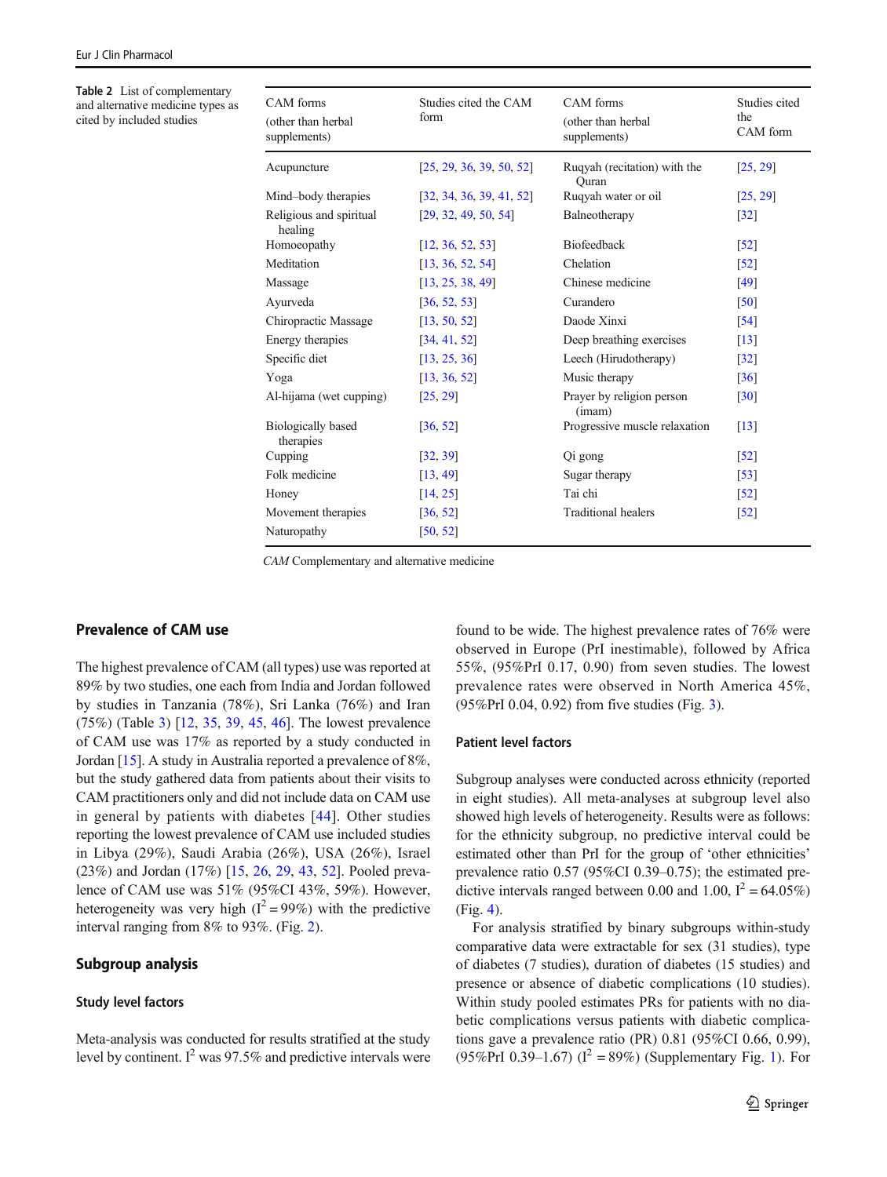<span id="page-7-0"></span>Table 2 List of complementary and alternative medicine types as cited by included studies

| CAM forms<br>(other than herbal<br>supplements) | Studies cited the CAM<br>form | CAM forms<br>(other than herbal<br>supplements) | Studies cited<br>the<br>CAM form |
|-------------------------------------------------|-------------------------------|-------------------------------------------------|----------------------------------|
| Acupuncture                                     | [25, 29, 36, 39, 50, 52]      | Ruqyah (recitation) with the<br>Quran           | [25, 29]                         |
| Mind-body therapies                             | [32, 34, 36, 39, 41, 52]      | Ruqyah water or oil                             | [25, 29]                         |
| Religious and spiritual<br>healing              | [29, 32, 49, 50, 54]          | Balneotherapy                                   | $\lceil 32 \rceil$               |
| Homoeopathy                                     | [12, 36, 52, 53]              | Biofeedback                                     | $\lceil 52 \rceil$               |
| Meditation                                      | [13, 36, 52, 54]              | Chelation                                       | $\lceil 52 \rceil$               |
| Massage                                         | [13, 25, 38, 49]              | Chinese medicine                                | [49]                             |
| Ayurveda                                        | [36, 52, 53]                  | Curandero                                       | [50]                             |
| Chiropractic Massage                            | [13, 50, 52]                  | Daode Xinxi                                     | [54]                             |
| Energy therapies                                | [34, 41, 52]                  | Deep breathing exercises                        | $\lceil 13 \rceil$               |
| Specific diet                                   | [13, 25, 36]                  | Leech (Hirudotherapy)                           | $\lceil 32 \rceil$               |
| Yoga                                            | [13, 36, 52]                  | Music therapy                                   | $\lceil 36 \rceil$               |
| Al-hijama (wet cupping)                         | [25, 29]                      | Prayer by religion person<br>(imam)             | $\lceil 30 \rceil$               |
| <b>Biologically</b> based<br>therapies          | [36, 52]                      | Progressive muscle relaxation                   | $\lceil 13 \rceil$               |
| Cupping                                         | [32, 39]                      | Qi gong                                         | $\lceil 52 \rceil$               |
| Folk medicine                                   | [13, 49]                      | Sugar therapy                                   | $\lceil 53 \rceil$               |
| Honey                                           | [14, 25]                      | Tai chi                                         | $[52]$                           |
| Movement therapies                              | [36, 52]                      | <b>Traditional healers</b>                      | $\lceil 52 \rceil$               |
| Naturopathy                                     | [50, 52]                      |                                                 |                                  |

CAM Complementary and alternative medicine

# Prevalence of CAM use

The highest prevalence of CAM (all types) use was reported at 89% by two studies, one each from India and Jordan followed by studies in Tanzania (78%), Sri Lanka (76%) and Iran (75%) (Table [3](#page-8-0)) [[12,](#page-14-0) [35,](#page-15-0) [39](#page-15-0), [45,](#page-15-0) [46](#page-15-0)]. The lowest prevalence of CAM use was 17% as reported by a study conducted in Jordan [\[15\]](#page-14-0). A study in Australia reported a prevalence of 8%, but the study gathered data from patients about their visits to CAM practitioners only and did not include data on CAM use in general by patients with diabetes [\[44\]](#page-15-0). Other studies reporting the lowest prevalence of CAM use included studies in Libya (29%), Saudi Arabia (26%), USA (26%), Israel (23%) and Jordan (17%) [[15,](#page-14-0) [26,](#page-15-0) [29](#page-15-0), [43](#page-15-0), [52\]](#page-16-0). Pooled prevalence of CAM use was 51% (95%CI 43%, 59%). However, heterogeneity was very high  $(I^2 = 99\%)$  with the predictive interval ranging from 8% to 93%. (Fig. [2\)](#page-10-0).

# Subgroup analysis

## Study level factors

Meta-analysis was conducted for results stratified at the study level by continent.  $I^2$  was 97.5% and predictive intervals were

found to be wide. The highest prevalence rates of 76% were observed in Europe (PrI inestimable), followed by Africa 55%, (95%PrI 0.17, 0.90) from seven studies. The lowest prevalence rates were observed in North America 45%, (95%PrI 0.04, 0.92) from five studies (Fig. [3\)](#page-11-0).

#### Patient level factors

Subgroup analyses were conducted across ethnicity (reported in eight studies). All meta-analyses at subgroup level also showed high levels of heterogeneity. Results were as follows: for the ethnicity subgroup, no predictive interval could be estimated other than PrI for the group of 'other ethnicities' prevalence ratio 0.57 (95%CI 0.39–0.75); the estimated predictive intervals ranged between 0.00 and 1.00,  $I^2 = 64.05\%$ ) (Fig. [4](#page-12-0)).

For analysis stratified by binary subgroups within-study comparative data were extractable for sex (31 studies), type of diabetes (7 studies), duration of diabetes (15 studies) and presence or absence of diabetic complications (10 studies). Within study pooled estimates PRs for patients with no diabetic complications versus patients with diabetic complications gave a prevalence ratio (PR) 0.81 (95%CI 0.66, 0.99), (95%PrI 0.39–1.67) ( $I^2 = 89\%$ ) (Supplementary Fig. 1). For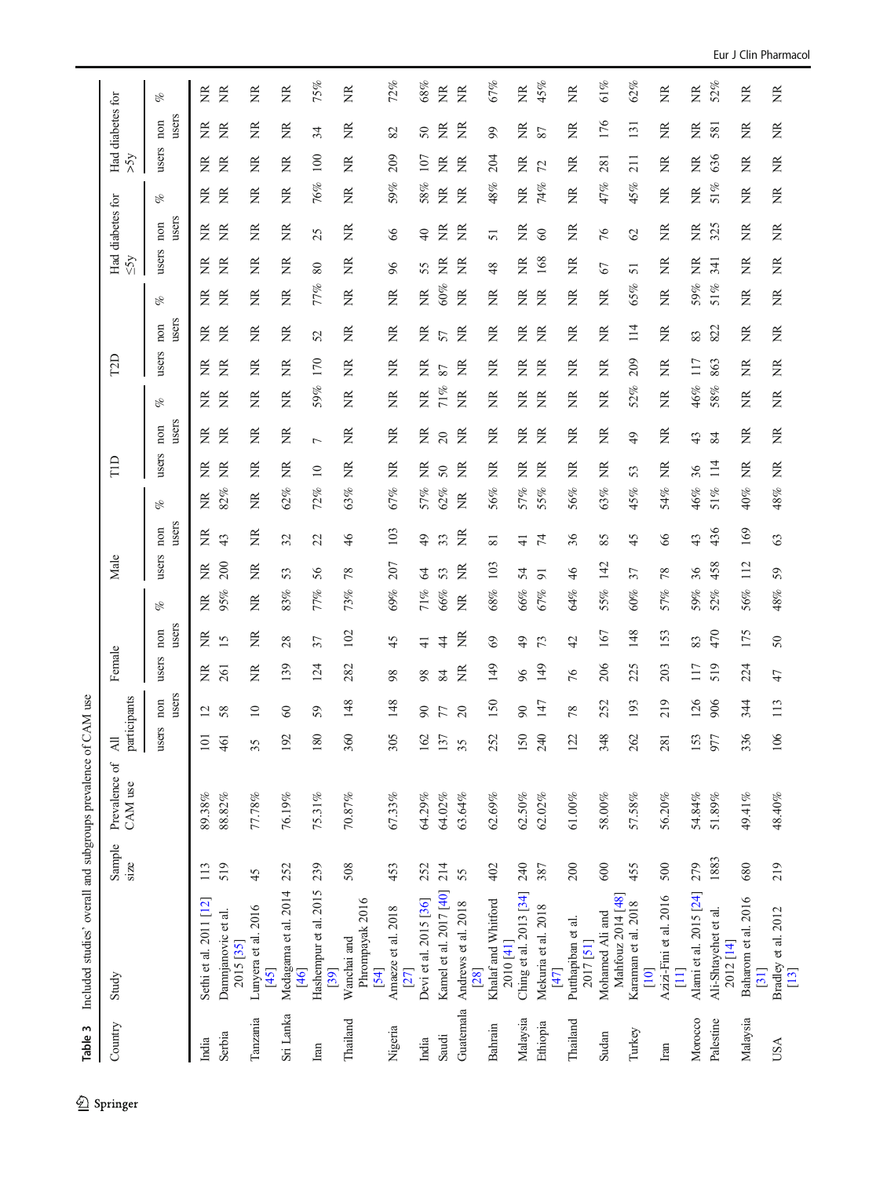<span id="page-8-0"></span>

| Table 3   | Included studies' overall and subgroups prevalence of CAM use |                |                          |                                 |                 |        |                 |        |                |                             |        |                 |                 |     |                   |                   |                   |           |                  |                   |                             |                  |                   |
|-----------|---------------------------------------------------------------|----------------|--------------------------|---------------------------------|-----------------|--------|-----------------|--------|----------------|-----------------------------|--------|-----------------|-----------------|-----|-------------------|-------------------|-------------------|-----------|------------------|-------------------|-----------------------------|------------------|-------------------|
| Country   | Study                                                         | Sample<br>size | Prevalence of<br>CAM use | participants<br>$\overline{AB}$ |                 | Female |                 |        | Male           |                             |        | ΠD              |                 |     | <b>CZD</b>        |                   |                   | $\leq$ 5y | Had diabetes for |                   | Had diabetes for<br>$x_{S}$ |                  |                   |
|           |                                                               |                |                          | 8<br>$_{\text{use}}$            | users<br>non    | users  | users<br>non    | of     | users          | users<br>non                | oz     | users           | users<br>non    | oz  | users             | users<br>non      | oz                | users     | users<br>non     | of                | users                       | users<br>non     | of                |
| India     | Sethi et al. 2011 [12]                                        | 113            | 89.38%                   | $\overline{101}$                | $\overline{c}$  | ž      | ž               | ž      | ž              | ž                           | ž      | ž               | ž               | ž   | ž                 | ž                 | ž                 | ž         | ž                | ž                 | ž                           | ž                | ž                 |
| Serbia    | Damnjanovic et al.<br>2015 [35]                               | 519            | $88.82\%$                | 461                             | 58              | 261    | 15              | 95%    | 200            | 43                          | 82%    | ž               | ž               | ž   | ã                 | ž                 | ž                 | ã         | ž                | ž                 | ž                           | ž                | ã                 |
| Tanzania  | Lunyera et al. 2016<br>[45]                                   | 45             | $77.78\%$                | 35                              | $\overline{10}$ | ã      | ž               | ã      | ž              | ã                           | ã      | ž               | ž               | Ž   | ž                 | ž                 | ž                 | ž         | ž                | ž                 | ž                           | ã                | ž                 |
| Sri Lanka | Medagama et al. 2014<br>[46]                                  | 252            | $76.19\%$                | 192                             | $\infty$        | 139    | 28              | 83%    | 53             | 32                          | 62%    | ž               | ã               | ž   | Z                 | ž                 | ã                 | ã         | ã                | 臣                 | ã                           | ã                | ž                 |
| Iran      | Hashempur et al. 2015<br>[39]                                 | 239            | 75.31%                   | 180                             | 59              | 124    | 37              | 77%    | 56             | 22                          | 72%    | $\overline{10}$ | $\overline{ }$  | 59% | 170               | 52                | 77%               | $80\,$    | 25               | 76%               | 100                         | 34               | 75%               |
| Thailand  | Phrompayak 2016<br>Wanchai and<br>[54]                        | 508            | 70.87%                   | 360                             | 148             | 282    | 102             | 73%    | 78             | 46                          | 63%    | Z               | ž               | ž   | Ž                 | ž                 | ž                 | ã         | ž                | Ž                 | ž                           | ž                | ž                 |
| Nigeria   | Amaeze et al. 2018<br>[27]                                    | 453            | $67.33\%$                | 305                             | 148             | 98     | 45              | 69%    | 207            | 103                         | 67%    | ž               | ã               | ž   | ž                 | ž                 | ž                 | 96        | 66               | 59%               | 209                         | 82               | 72%               |
| India     | Devi et al. 2015 [36]                                         | 252            | 64.29%                   | $\frac{162}{137}$               | $\infty$        | 98     | $\vec{+}$       | 71%    | $\mathcal{L}$  | $\overline{6}$              | 57%    | ž               | ž               | g   | ã                 | ã                 | ã                 | 55        | $\overline{40}$  | 58%               | 107                         | 50               | 68%               |
| Saudi     | Kamel et al. 2017 [40]                                        | 214            | $64.02\%$                |                                 | 77              | 84     | $\ddot{4}$      | 66%    | 53             | 33                          | 62%    | 50              | $\overline{c}$  | 71% | 87                | 57                | 60%               | ž         | ã                | Ĕ                 | ž                           | ž                | ž                 |
| Guatemala | Andrews et al. 2018<br>[28]                                   | 55             | 63.64%                   | 35                              | $\overline{c}$  | 医      | ž               | g      | ž              | Ĕ                           | Ĕ      | ž               | ž               | Ĕ   | ã                 | ã                 | $\widetilde{\Xi}$ | ã         | ã                | $\widetilde{\Xi}$ | ã                           | ž                | g                 |
| Bahrain   | Khalaf and Whitford<br>2010 [41]                              | 402            | $62.69\%$                | 252                             | 150             | 149    | 69              | 68%    | 103            | $\overline{81}$             | 56%    | ž               | ž               | ž   | ž                 | ž                 | ž                 | 48        | 51               | $48\%$            | 204                         | 99               | 67%               |
| Malaysia  | Ching et al. 2013 [34]                                        | 240            | $62.50\%$                | $150$<br>240                    | $\infty$        | 96     | $\overline{49}$ | $66\%$ | 54             | $\pm$                       | 57%    | ž               | ã               | ã   | Ž                 | ã                 | ž                 | ã         | ã                | Ĕ                 | ã                           | ã                | Ž                 |
| Ethiopia  | Mekuria et al. 2018<br>$[47]$                                 | 387            | $62.02\%$                |                                 | 147             | 149    | 73              | 67%    | $\overline{9}$ | $\mathcal{F}_{\mathcal{A}}$ | 55%    | ž               | ž               | ž   | ã                 | ã                 | ã                 | 168       | 60               | 74%               | $\mathcal{L}$               | 87               | 45%               |
| Thailand  | Putthapiban et al.<br>2017 [51]                               | 200            | $61.00\%$                | 122                             | 78              | 76     | 42              | 64%    | 46             | 36                          | 56%    | ž               | ž               | ž   | ž                 | ž                 | ž                 | ã         | ã                | ã                 | ž                           | ž                | ž                 |
| Sudan     | Mahfouz 2014 [48]<br>Mohamed Ali and                          | 600            | $58.00\%$                | 348                             | 252             | 206    | 167             | 55%    | 142            | 85                          | 63%    | ž               | ž               | ž   | ž                 | ž                 | ž                 | 67        | 76               | 47%               | 281                         | 176              | 61%               |
| Turkey    | Karaman et al. 2018<br>$[10]$                                 | 455            | 57.58%                   | 262                             | 193             | 225    | 148             | 60%    | 37             | 45                          | 45%    | 53              | $\overline{49}$ | 52% | 209               | 114               | 65%               | 51        | $\mathcal{O}$    | 45%               | 211                         | $\overline{131}$ | 62%               |
| Iran      | Azizi-Fini et al. 2016<br>$\Xi$                               | 500            | 56.20%                   | $\overline{\phantom{0}}$<br>281 | 219             | 203    | 153             | 57%    | 78             | 66                          | 54%    | ž               | ã               | ž   | ž                 | ž                 | ž                 | ž         | ž                | ž                 | ž                           | ž                | ž                 |
| Morocco   | Alami et al. 2015 [24]                                        | 279            | 54.84%                   | 153<br>977                      | 126             | 117    | 83              | 59%    | 36             | 43                          | 46%    | 36              | 43              | 46% | 117               | 83                | 59%               | ž         | ž                | ž                 | ž                           | ž                | Ĕ                 |
| Palestine | Ali-Shtayehet et al.<br>2012 [14]                             | 1883           | $51.89\%$                |                                 | 906             | 519    | 470             | 52%    | 458            | 436                         | 51%    | 114             | 84              | 58% | 863               | 822               | 51%               | 341       | 325              | 51%               | 636                         | 581              | 52%               |
| Malaysia  | Baharom et al. 2016<br>[31]                                   | 680            | 49.41%                   | 336                             | 344             | 224    | 175             | 56%    | 112            | 169                         | $40\%$ | ž               | ã               | ã   | Ž                 | ž                 | ã                 | ž         | g                | ž                 | ž                           | ã                | Ĕ                 |
| USA       | Bradley et al. 2012<br>[13]                                   | 219            | 48.40%                   | 106                             | 113             | 47     | 50              | 48%    | 59             | 63                          | $48\%$ | Ĕ               | Ž               | Ž   | $\widetilde{\Xi}$ | $\widetilde{\Xi}$ | $\widetilde{\Xi}$ | Ž         | Ĕ                | ã                 | ã                           | Ĕ                | $\widetilde{\Xi}$ |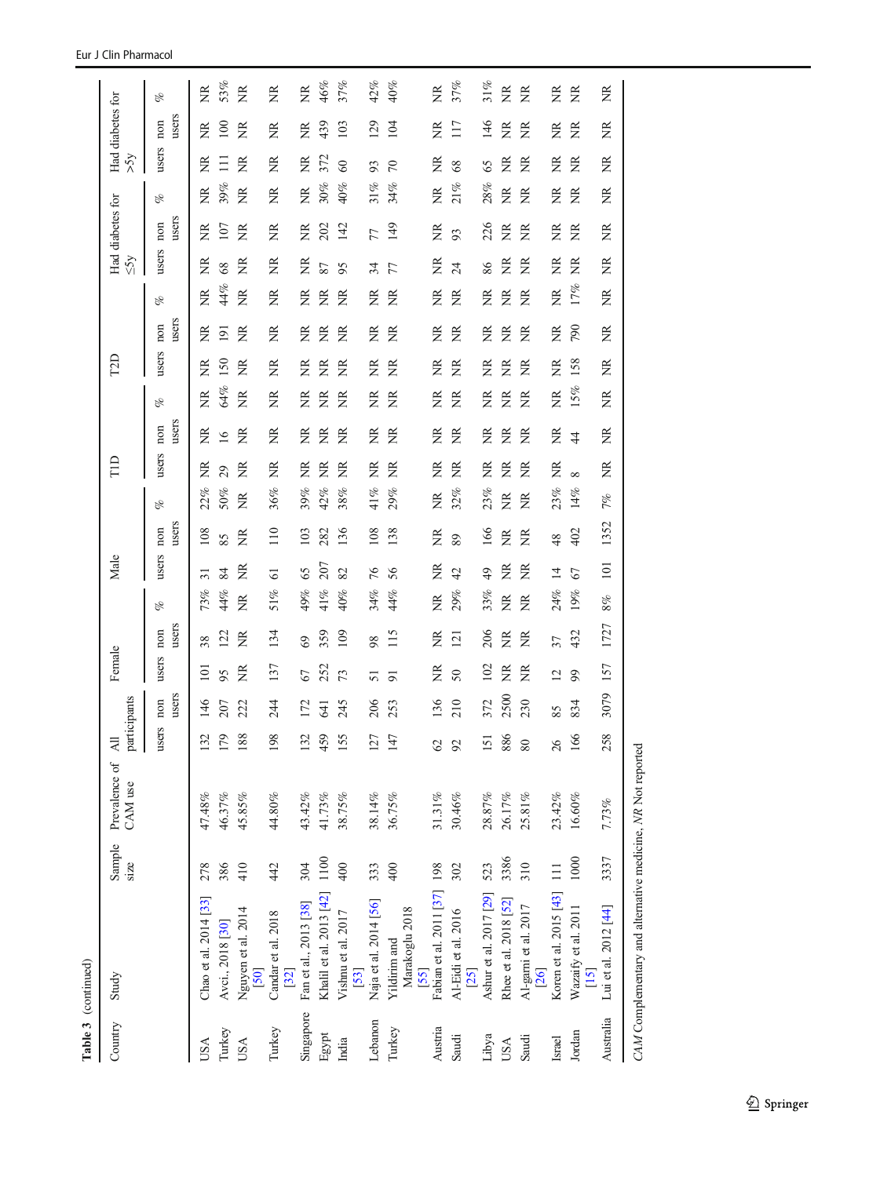| Table 3 (continued) |                                        |                |                          |                                                    |              |                |                |     |                 |              |                     |       |                |     |                 |                |     |           |                  |     |                             |                    |     |
|---------------------|----------------------------------------|----------------|--------------------------|----------------------------------------------------|--------------|----------------|----------------|-----|-----------------|--------------|---------------------|-------|----------------|-----|-----------------|----------------|-----|-----------|------------------|-----|-----------------------------|--------------------|-----|
| Country             | Study                                  | Sample<br>size | Prevalence of<br>CAM use | participants<br>$\leq$<br>$\overline{\phantom{a}}$ |              | Female         |                |     | Male            |              |                     | FID   |                |     | EZD             |                |     | $\leq$ 5y | Had diabetes for |     | Had diabetes for<br>$x_{S}$ |                    |     |
|                     |                                        |                |                          | users                                              | users<br>non | users          | users<br>non   | E   | users           | users<br>non | of                  | users | users<br>non   | oz  | users           | users<br>non   | oz  | users     | users<br>non     | oz  | users                       | of<br>users<br>non |     |
| USA                 | Chao et al. 2014 [33]                  | 278            | 47.48%                   | $\mathcal{L}$<br>13                                | 146          | $\Xi$          | 38             | 73% | ಸ               | 108          | 22%                 | ž     | ã              | ž   | ž               | ã              | ã   | ž         | ž                | ž   | ž                           | ž                  | ž   |
| Turkey              | Avci., 2018 [30]                       | 386            | 46.37%                   | $\circ$<br>$\overline{17}$                         | 207          | 95             | 122            | 44% | 84              | 85           | 50%                 | 29    | $\overline{9}$ | 64% | $\overline{50}$ | $\overline{2}$ | 44% | 68        | 107              | 39% | Ξ                           | 100                | 53% |
| USA                 | Nguyen et al. 2014<br>[50]             | 410            | 45.85%                   | ${}^{\circ}$<br>$\frac{8}{18}$                     | 222          | ã              | ž              | Ĕ   | ž               | ž            | ã                   | ž     | ž              | ž   | ž               | ž              | ž   | ž         | ž                | ž   | ž                           | ž                  | ã   |
| Turkey              | Candar et al. 2018<br>$[32]$           | 442            | $44.80\%$                | 198                                                | 244          | 137            | 134            | 51% | 5               | 110          | 36%                 | ž     | ž              | ã   | ž               | ž              | ž   | ž         | ž                | ž   | ž                           | ž                  | ž   |
| Singapore           | Fan et al., 2013 [38]                  | 304            | 43.42%                   | 132                                                | 172          | 67             | $\mathcal{S}$  | 49% | 65              | 103          | 39%                 | ž     | ž              | ž   | ž               | ž              | ž   | ž         | ž                | ž   | ž                           | ž                  | ž   |
| Egypt               | Khalil et al. 2013 [42]                | 1100           | 41.73%                   | 459                                                | 541          | 252            | 359            | 41% | 207             | 282          | 42%                 | ã     | ž              | 臣   | ž               | ž              | ž   | 87        | 202              | 30% | 372                         | 439                | 46% |
| India               | Vishnu et al. 2017<br>[53]             | 400            | 38.75%                   | 5<br>15                                            | 245          | 73             | 109            | 40% | 82              | 136          | 38%                 | ã     | ž              | ž   | ž               | ž              | ã   | 95        | 142              | 40% | $\infty$                    | 103                | 37% |
| Lebanon             | Naja et al. 2014 [56]                  | 333            | $38.14\%$                | 127                                                | 206          | 5              | 98             | 34% | 76              | 108          | 41%                 | ž     | ž              | ž   | ž               | ž              | ã   | 34        | 77               | 31% | 93                          | 129                | 42% |
| Turkey              | Marakoglu 2018<br>Yildirim and<br>[55] | 400            | 36.75%                   | 147                                                | 253          | 5              | 115            | 44% | 56              | 138          | 29%                 | Ĕ     | ž              | ž   | ž               | ž              | ã   | 77        | 149              | 34% | $\sqrt{2}$                  | 104                | 40% |
| Austria             | Fabian et al. 2011 [37] 198            |                | $31.31\%$                | $\mathcal{O}$                                      | 136          | ž              | ž              | Ĕ   | ž               | ž            | ž                   | ã     | ž              | ã   | ž               | ž              | ã   | ž         | ã                | ž   | ž                           | ã                  | Ž   |
| Saudi               | Al-Eidi et al. 2016<br>$[25]$          | 302            | $30.46\%$                | 92                                                 | 210          | $50\,$         | $\overline{2}$ | 29% | 42              | 89           | 32%                 | ã     | ž              | ž   | ž               | ã              | ã   | 24        | 93               | 21% | 68                          | 117                | 37% |
| Libya               | Ashur et al. 2017 [29]                 | 523            | $28.87\%$                | 151                                                | 372          | 102            | 206            | 33% | $\overline{49}$ | 166          | 23%                 | ž     | ž              | ž   | ž               | ž              | ž   | 86        | 226              | 28% | 65                          | 146                | 31% |
| USA                 | Rhee et al. 2018 [52]                  | 3386           | 26.17%                   | $\circ$<br>88                                      | 2500         | ž              | ã              | Ĕ   | ž               | ž            | ž                   | ž     | ž              | ž   | ž               | ž              | ž   | ž         | ã                | ž   | ž                           | ž                  | ž   |
| Saudi               | Al-garni et al. 2017<br>26]            | 310            | 25.81%                   | 80                                                 | 230          | ã              | ã              | ã   | ã               | ã            | ã                   | ž     | ž              | ž   | ã               | ž              | ã   | ž         | ã                | ž   | ž                           | ž                  | ž   |
| Israel              | Koren et al. 2015 [43] 111             |                | $23.42\%$                | 26                                                 | 85           | $\overline{c}$ | 37             | 24% | $\overline{4}$  | 48           | 23%                 | ž     | ž              | Ĕ   | ã               | ã              | Ĕ   | ã         | ž                | ž   | ž                           | ž                  | ž   |
| Jordan              | Wazaify et al. 2011<br>$[15]$          | 1000           | $16.60\%$                | 166                                                | 834          | 99             | 432            | 19% | 67              | 402          | ${}^{\circ}$<br>14% |       | $\ddot{4}$     | 15% | 158             | <b>D6L</b>     | 17% | ž         | ã                | ã   | ã                           | ã                  | ã   |
| Australia           | Lui et al. 2012 [44]                   | 3337           | 7.73%                    | 258                                                | 3079         | 157            | 1727           | 8%  | 101             | 1352         | 7%                  | ž     | ž              | ã   | ã               | ã              | ž   | ž         | g                | ã   | ž<br>ã                      |                    | ã   |
|                     |                                        |                |                          |                                                    |              |                |                |     |                 |              |                     |       |                |     |                 |                |     |           |                  |     |                             |                    |     |

CAM Complementary and alternative medicine, NR Not reported CAM Complementary and alternative medicine, NR Not reported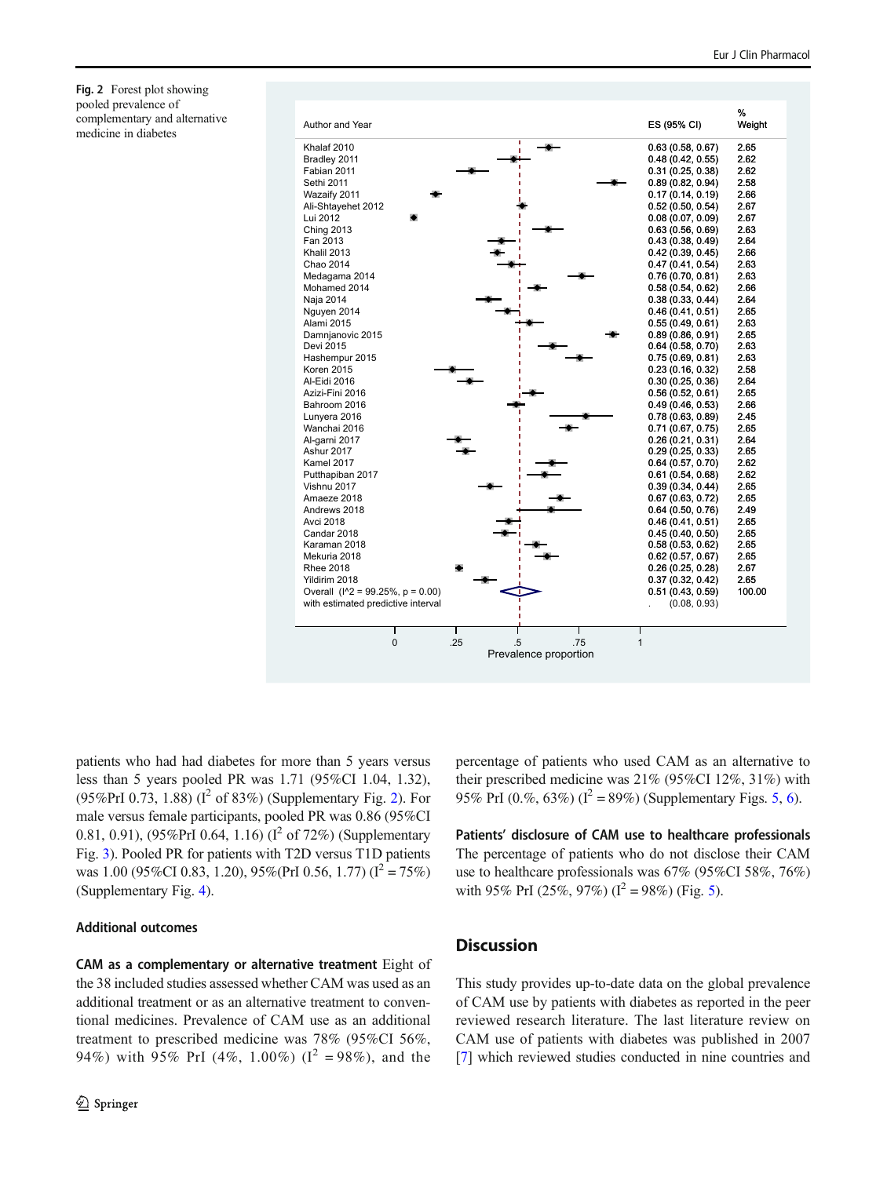<span id="page-10-0"></span>Fig. 2 Forest plot showing pooled prevalence of complementary and alternative medicine in diabetes



patients who had had diabetes for more than 5 years versus less than 5 years pooled PR was 1.71 (95%CI 1.04, 1.32), (95%PrI 0.73, 1.88) ( $I^2$  of 83%) (Supplementary Fig. 2). For male versus female participants, pooled PR was 0.86 (95%CI 0.81, 0.91), (95%PrI 0.64, 1.16) ( $I^2$  of 72%) (Supplementary Fig. 3). Pooled PR for patients with T2D versus T1D patients was 1.00 (95%CI 0.83, 1.20), 95%(PrI 0.56, 1.77) ( $I^2 = 75\%$ ) (Supplementary Fig. 4).

#### Additional outcomes

CAM as a complementary or alternative treatment Eight of the 38 included studies assessed whether CAM was used as an additional treatment or as an alternative treatment to conventional medicines. Prevalence of CAM use as an additional treatment to prescribed medicine was 78% (95%CI 56%, 94%) with 95% PrI (4%, 1.00%) ( $I^2 = 98\%$ ), and the

percentage of patients who used CAM as an alternative to their prescribed medicine was 21% (95%CI 12%, 31%) with 95% PrI (0.%, 63%) ( $I^2 = 89\%$ ) (Supplementary Figs. 5, 6).

Patients' disclosure of CAM use to healthcare professionals The percentage of patients who do not disclose their CAM use to healthcare professionals was 67% (95%CI 58%, 76%) with 95% PrI (25%, 97%) ( $I^2 = 98\%$ ) (Fig. [5\)](#page-13-0).

# **Discussion**

This study provides up-to-date data on the global prevalence of CAM use by patients with diabetes as reported in the peer reviewed research literature. The last literature review on CAM use of patients with diabetes was published in 2007 [\[7](#page-14-0)] which reviewed studies conducted in nine countries and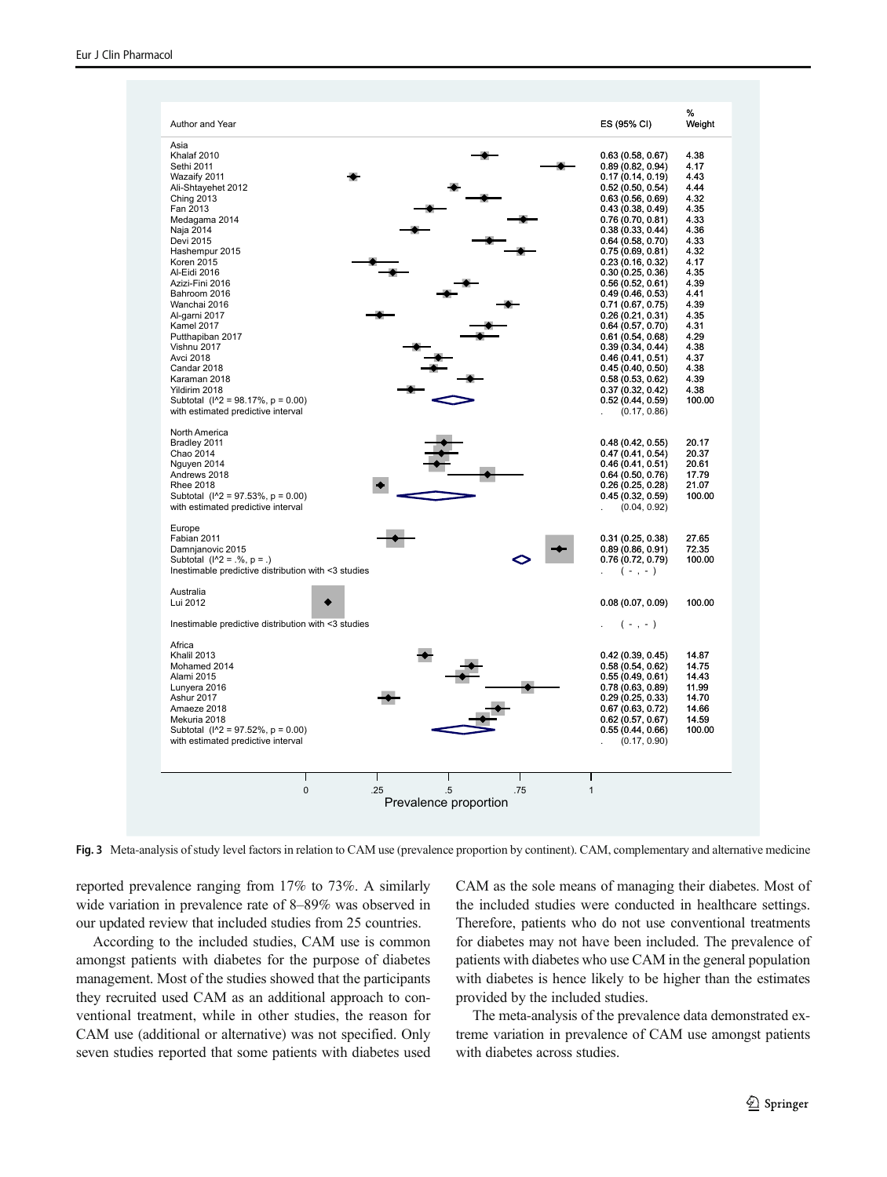<span id="page-11-0"></span>

Fig. 3 Meta-analysis of study level factors in relation to CAM use (prevalence proportion by continent). CAM, complementary and alternative medicine

reported prevalence ranging from 17% to 73%. A similarly wide variation in prevalence rate of 8–89% was observed in our updated review that included studies from 25 countries.

According to the included studies, CAM use is common amongst patients with diabetes for the purpose of diabetes management. Most of the studies showed that the participants they recruited used CAM as an additional approach to conventional treatment, while in other studies, the reason for CAM use (additional or alternative) was not specified. Only seven studies reported that some patients with diabetes used CAM as the sole means of managing their diabetes. Most of the included studies were conducted in healthcare settings. Therefore, patients who do not use conventional treatments for diabetes may not have been included. The prevalence of patients with diabetes who use CAM in the general population with diabetes is hence likely to be higher than the estimates provided by the included studies.

The meta-analysis of the prevalence data demonstrated extreme variation in prevalence of CAM use amongst patients with diabetes across studies.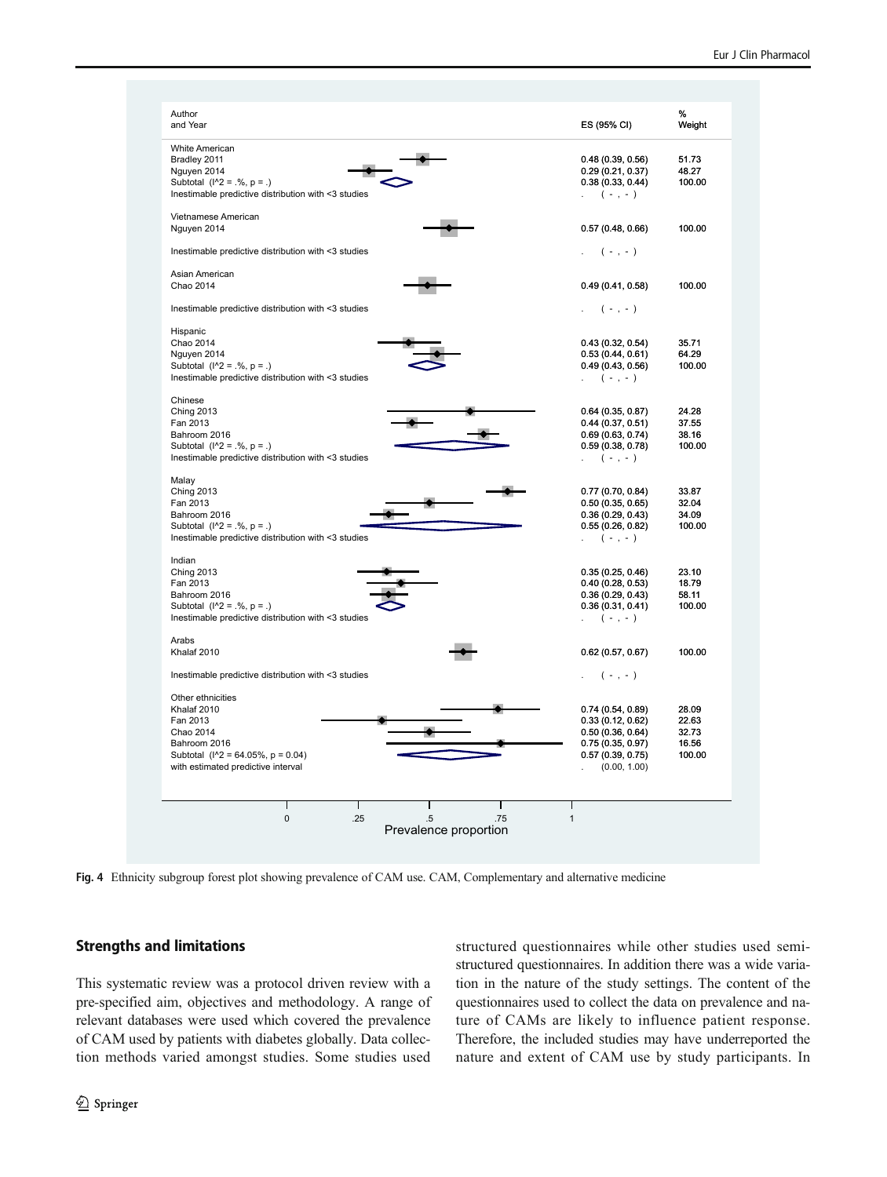<span id="page-12-0"></span>

| Author<br>and Year                                                                   | ES (95% CI)                          | %<br>Weight     |
|--------------------------------------------------------------------------------------|--------------------------------------|-----------------|
| White American                                                                       |                                      |                 |
| Bradley 2011                                                                         | 0.48(0.39, 0.56)                     | 51.73           |
| Nguyen 2014                                                                          | 0.29(0.21, 0.37)                     | 48.27           |
| Subtotal $(1^2 = .\%, p = .)$<br>Inestimable predictive distribution with <3 studies | 0.38(0.33, 0.44)                     | 100.00          |
|                                                                                      | $(-, -)$                             |                 |
| Vietnamese American<br>Nguyen 2014                                                   | 0.57(0.48, 0.66)                     | 100.00          |
|                                                                                      |                                      |                 |
| Inestimable predictive distribution with <3 studies                                  | $(-, -)$                             |                 |
| Asian American<br>Chao 2014                                                          | 0.49(0.41, 0.58)                     | 100.00          |
|                                                                                      |                                      |                 |
| Inestimable predictive distribution with <3 studies                                  | $(-, -)$                             |                 |
| Hispanic<br>Chao 2014                                                                | 0.43(0.32, 0.54)                     | 35.71           |
| Nguyen 2014                                                                          | 0.53(0.44, 0.61)                     | 64.29           |
| Subtotal $(1^2 = .\% , p = .)$                                                       | 0.49(0.43, 0.56)                     | 100.00          |
| Inestimable predictive distribution with <3 studies                                  | $( - , - )$                          |                 |
| Chinese                                                                              |                                      |                 |
| <b>Ching 2013</b><br>Fan 2013                                                        | 0.64(0.35, 0.87)<br>0.44(0.37, 0.51) | 24.28<br>37.55  |
| Bahroom 2016                                                                         | 0.69(0.63, 0.74)                     | 38.16           |
| Subtotal $(1^2 = .\%, p = .)$                                                        | 0.59(0.38, 0.78)                     | 100.00          |
| Inestimable predictive distribution with <3 studies                                  | $(-, -)$                             |                 |
| Malay                                                                                |                                      |                 |
| <b>Ching 2013</b>                                                                    | 0.77(0.70, 0.84)                     | 33.87           |
| Fan 2013<br>Bahroom 2016                                                             | 0.50(0.35, 0.65)<br>0.36(0.29, 0.43) | 32.04<br>34.09  |
| Subtotal $(1^2 = .\% , p = .)$                                                       | 0.55(0.26, 0.82)                     | 100.00          |
| Inestimable predictive distribution with <3 studies                                  | $(-, -)$                             |                 |
| Indian                                                                               |                                      |                 |
| <b>Ching 2013</b>                                                                    | 0.35(0.25, 0.46)                     | 23.10           |
| Fan 2013                                                                             | 0.40(0.28, 0.53)                     | 18.79           |
| Bahroom 2016<br>Subtotal $(1^2 = .\%, p = .)$                                        | 0.36(0.29, 0.43)                     | 58.11<br>100.00 |
| Inestimable predictive distribution with <3 studies                                  | 0.36(0.31, 0.41)<br>$(-, -)$         |                 |
|                                                                                      |                                      |                 |
| Arabs<br>Khalaf 2010                                                                 | 0.62(0.57, 0.67)                     | 100.00          |
| Inestimable predictive distribution with <3 studies                                  | $(-, -)$                             |                 |
| Other ethnicities                                                                    |                                      |                 |
| Khalaf 2010                                                                          | 0.74(0.54, 0.89)                     | 28.09           |
| Fan 2013                                                                             | 0.33(0.12, 0.62)                     | 22.63           |
| Chao 2014                                                                            | 0.50(0.36, 0.64)                     | 32.73           |
| Bahroom 2016                                                                         | 0.75(0.35, 0.97)                     | 16.56           |
| Subtotal $(N2 = 64.05\%, p = 0.04)$                                                  | 0.57(0.39, 0.75)                     | 100.00          |
| with estimated predictive interval                                                   | (0.00, 1.00)                         |                 |
| T<br>п<br>п                                                                          | п                                    |                 |
| $\mathbf 0$<br>.25<br>$.5\,$                                                         | .75<br>$\mathbf{1}$                  |                 |
| Prevalence proportion                                                                |                                      |                 |

Fig. 4 Ethnicity subgroup forest plot showing prevalence of CAM use. CAM, Complementary and alternative medicine

# Strengths and limitations

This systematic review was a protocol driven review with a pre-specified aim, objectives and methodology. A range of relevant databases were used which covered the prevalence of CAM used by patients with diabetes globally. Data collection methods varied amongst studies. Some studies used

structured questionnaires while other studies used semistructured questionnaires. In addition there was a wide variation in the nature of the study settings. The content of the questionnaires used to collect the data on prevalence and nature of CAMs are likely to influence patient response. Therefore, the included studies may have underreported the nature and extent of CAM use by study participants. In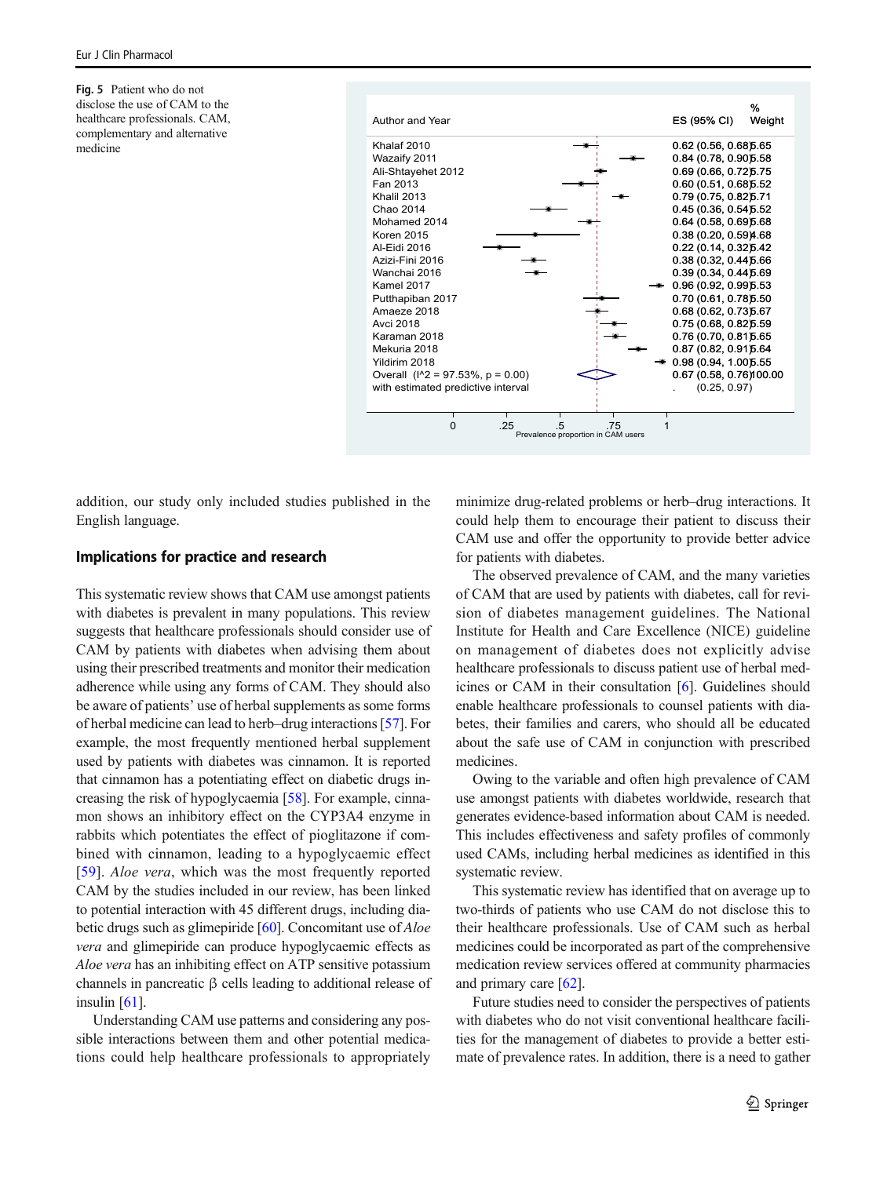<span id="page-13-0"></span>Fig. 5 Patient who do not disclose the use of CAM to the healthcare professionals. CAM, complementary and alternative medicine



addition, our study only included studies published in the English language.

#### Implications for practice and research

This systematic review shows that CAM use amongst patients with diabetes is prevalent in many populations. This review suggests that healthcare professionals should consider use of CAM by patients with diabetes when advising them about using their prescribed treatments and monitor their medication adherence while using any forms of CAM. They should also be aware of patients' use of herbal supplements as some forms of herbal medicine can lead to herb–drug interactions [\[57](#page-16-0)]. For example, the most frequently mentioned herbal supplement used by patients with diabetes was cinnamon. It is reported that cinnamon has a potentiating effect on diabetic drugs increasing the risk of hypoglycaemia [\[58\]](#page-16-0). For example, cinnamon shows an inhibitory effect on the CYP3A4 enzyme in rabbits which potentiates the effect of pioglitazone if combined with cinnamon, leading to a hypoglycaemic effect [\[59\]](#page-16-0). Aloe vera, which was the most frequently reported CAM by the studies included in our review, has been linked to potential interaction with 45 different drugs, including diabetic drugs such as glimepiride [\[60\]](#page-16-0). Concomitant use of Aloe vera and glimepiride can produce hypoglycaemic effects as Aloe vera has an inhibiting effect on ATP sensitive potassium channels in pancreatic β cells leading to additional release of insulin [\[61\]](#page-16-0).

Understanding CAM use patterns and considering any possible interactions between them and other potential medications could help healthcare professionals to appropriately minimize drug-related problems or herb–drug interactions. It could help them to encourage their patient to discuss their CAM use and offer the opportunity to provide better advice for patients with diabetes.

The observed prevalence of CAM, and the many varieties of CAM that are used by patients with diabetes, call for revision of diabetes management guidelines. The National Institute for Health and Care Excellence (NICE) guideline on management of diabetes does not explicitly advise healthcare professionals to discuss patient use of herbal medicines or CAM in their consultation [[6\]](#page-14-0). Guidelines should enable healthcare professionals to counsel patients with diabetes, their families and carers, who should all be educated about the safe use of CAM in conjunction with prescribed medicines.

Owing to the variable and often high prevalence of CAM use amongst patients with diabetes worldwide, research that generates evidence-based information about CAM is needed. This includes effectiveness and safety profiles of commonly used CAMs, including herbal medicines as identified in this systematic review.

This systematic review has identified that on average up to two-thirds of patients who use CAM do not disclose this to their healthcare professionals. Use of CAM such as herbal medicines could be incorporated as part of the comprehensive medication review services offered at community pharmacies and primary care [[62\]](#page-16-0).

Future studies need to consider the perspectives of patients with diabetes who do not visit conventional healthcare facilities for the management of diabetes to provide a better estimate of prevalence rates. In addition, there is a need to gather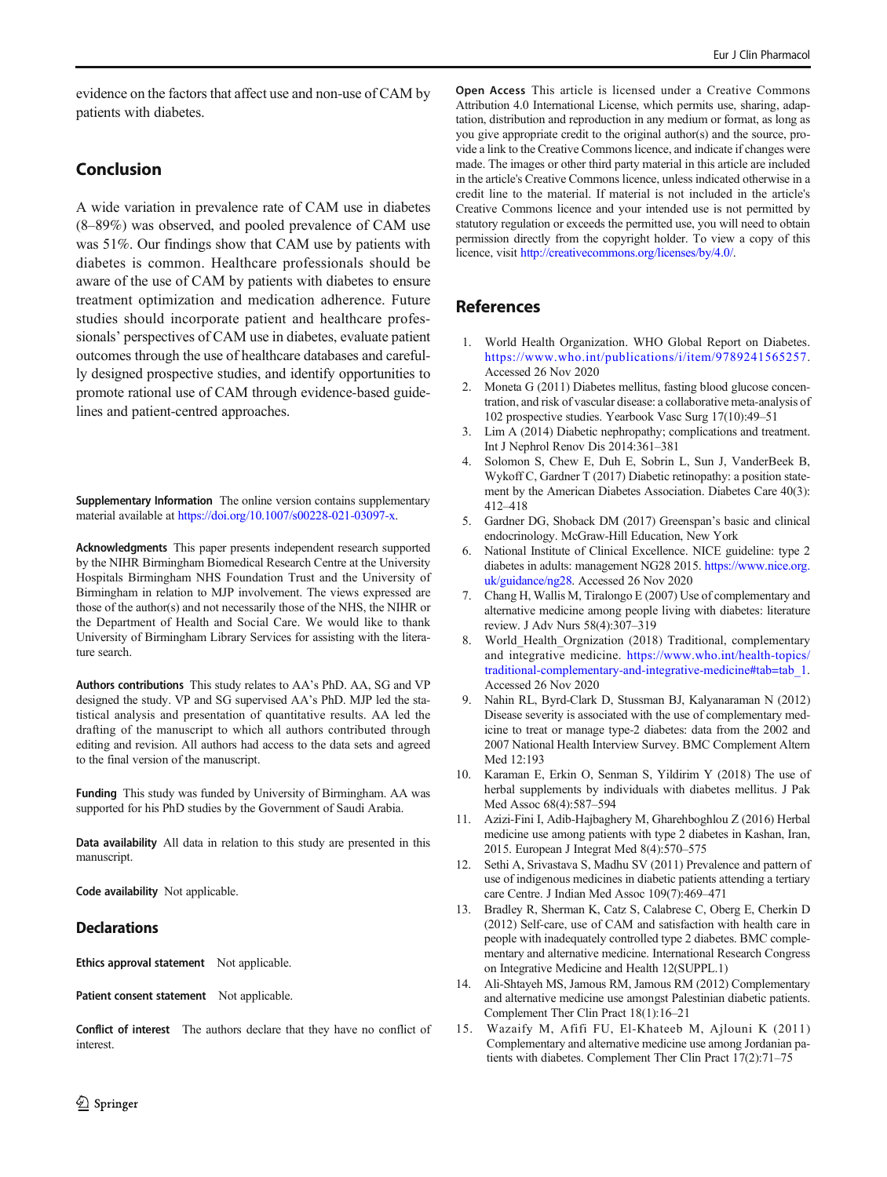<span id="page-14-0"></span>evidence on the factors that affect use and non-use of CAM by patients with diabetes.

# Conclusion

A wide variation in prevalence rate of CAM use in diabetes (8–89%) was observed, and pooled prevalence of CAM use was 51%. Our findings show that CAM use by patients with diabetes is common. Healthcare professionals should be aware of the use of CAM by patients with diabetes to ensure treatment optimization and medication adherence. Future studies should incorporate patient and healthcare professionals' perspectives of CAM use in diabetes, evaluate patient outcomes through the use of healthcare databases and carefully designed prospective studies, and identify opportunities to promote rational use of CAM through evidence-based guidelines and patient-centred approaches.

Supplementary Information The online version contains supplementary material available at <https://doi.org/10.1007/s00228-021-03097-x>.

Acknowledgments This paper presents independent research supported by the NIHR Birmingham Biomedical Research Centre at the University Hospitals Birmingham NHS Foundation Trust and the University of Birmingham in relation to MJP involvement. The views expressed are those of the author(s) and not necessarily those of the NHS, the NIHR or the Department of Health and Social Care. We would like to thank University of Birmingham Library Services for assisting with the literature search.

Authors contributions This study relates to AA's PhD. AA, SG and VP designed the study. VP and SG supervised AA's PhD. MJP led the statistical analysis and presentation of quantitative results. AA led the drafting of the manuscript to which all authors contributed through editing and revision. All authors had access to the data sets and agreed to the final version of the manuscript.

Funding This study was funded by University of Birmingham. AA was supported for his PhD studies by the Government of Saudi Arabia.

Data availability All data in relation to this study are presented in this manuscript.

Code availability Not applicable.

# **Declarations**

Ethics approval statement Not applicable.

Patient consent statement Not applicable.

Conflict of interest The authors declare that they have no conflict of interest.

Open Access This article is licensed under a Creative Commons Attribution 4.0 International License, which permits use, sharing, adaptation, distribution and reproduction in any medium or format, as long as you give appropriate credit to the original author(s) and the source, provide a link to the Creative Commons licence, and indicate if changes were made. The images or other third party material in this article are included in the article's Creative Commons licence, unless indicated otherwise in a credit line to the material. If material is not included in the article's Creative Commons licence and your intended use is not permitted by statutory regulation or exceeds the permitted use, you will need to obtain permission directly from the copyright holder. To view a copy of this licence, visit <http://creativecommons.org/licenses/by/4.0/>.

# References

- 1. World Health Organization. WHO Global Report on Diabetes. <https://www.who.int/publications/i/item/9789241565257>. Accessed 26 Nov 2020
- 2. Moneta G (2011) Diabetes mellitus, fasting blood glucose concentration, and risk of vascular disease: a collaborative meta-analysis of 102 prospective studies. Yearbook Vasc Surg 17(10):49–51
- 3. Lim A (2014) Diabetic nephropathy; complications and treatment. Int J Nephrol Renov Dis 2014:361–381
- 4. Solomon S, Chew E, Duh E, Sobrin L, Sun J, VanderBeek B, Wykoff C, Gardner T (2017) Diabetic retinopathy: a position statement by the American Diabetes Association. Diabetes Care 40(3): 412–418
- 5. Gardner DG, Shoback DM (2017) Greenspan's basic and clinical endocrinology. McGraw-Hill Education, New York
- 6. National Institute of Clinical Excellence. NICE guideline: type 2 diabetes in adults: management NG28 2015. [https://www.nice.org.](https://www.nice.org.uk/guidance/ng28) [uk/guidance/ng28](https://www.nice.org.uk/guidance/ng28). Accessed 26 Nov 2020
- 7. Chang H, Wallis M, Tiralongo E (2007) Use of complementary and alternative medicine among people living with diabetes: literature review. J Adv Nurs 58(4):307–319
- 8. World\_Health\_Orgnization (2018) Traditional, complementary and integrative medicine. [https://www.who.int/health-topics/](https://www.who.int/health-topics/traditional-complementary-and-integrative-medicine#tab=tab_1) [traditional-complementary-and-integrative-medicine#tab=tab\\_1](https://www.who.int/health-topics/traditional-complementary-and-integrative-medicine#tab=tab_1). Accessed 26 Nov 2020
- 9. Nahin RL, Byrd-Clark D, Stussman BJ, Kalyanaraman N (2012) Disease severity is associated with the use of complementary medicine to treat or manage type-2 diabetes: data from the 2002 and 2007 National Health Interview Survey. BMC Complement Altern Med 12:193
- 10. Karaman E, Erkin O, Senman S, Yildirim Y (2018) The use of herbal supplements by individuals with diabetes mellitus. J Pak Med Assoc 68(4):587–594
- 11. Azizi-Fini I, Adib-Hajbaghery M, Gharehboghlou Z (2016) Herbal medicine use among patients with type 2 diabetes in Kashan, Iran, 2015. European J Integrat Med 8(4):570–575
- 12. Sethi A, Srivastava S, Madhu SV (2011) Prevalence and pattern of use of indigenous medicines in diabetic patients attending a tertiary care Centre. J Indian Med Assoc 109(7):469–471
- 13. Bradley R, Sherman K, Catz S, Calabrese C, Oberg E, Cherkin D (2012) Self-care, use of CAM and satisfaction with health care in people with inadequately controlled type 2 diabetes. BMC complementary and alternative medicine. International Research Congress on Integrative Medicine and Health 12(SUPPL.1)
- 14. Ali-Shtayeh MS, Jamous RM, Jamous RM (2012) Complementary and alternative medicine use amongst Palestinian diabetic patients. Complement Ther Clin Pract 18(1):16–21
- 15. Wazaify M, Afifi FU, El-Khateeb M, Ajlouni K (2011) Complementary and alternative medicine use among Jordanian patients with diabetes. Complement Ther Clin Pract 17(2):71–75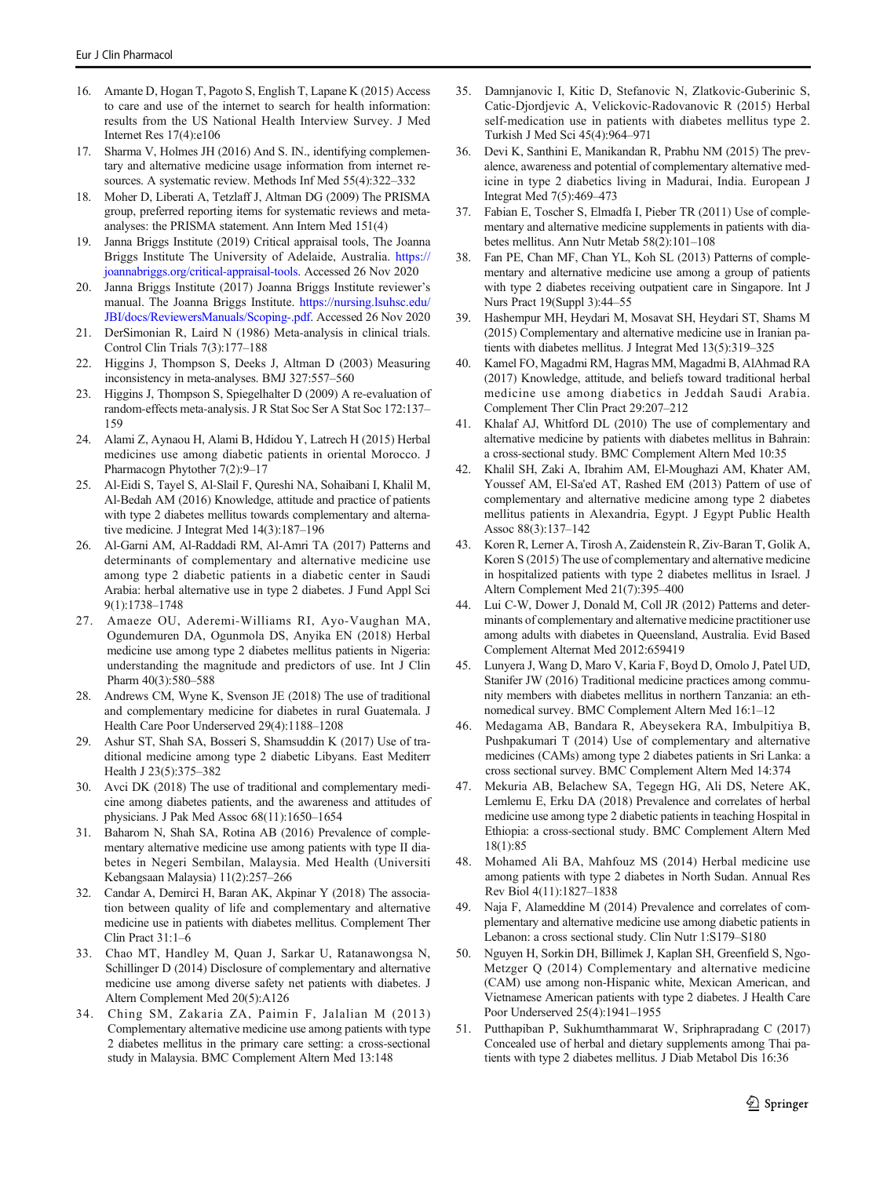- <span id="page-15-0"></span>16. Amante D, Hogan T, Pagoto S, English T, Lapane K (2015) Access to care and use of the internet to search for health information: results from the US National Health Interview Survey. J Med Internet Res 17(4):e106
- 17. Sharma V, Holmes JH (2016) And S. IN., identifying complementary and alternative medicine usage information from internet resources. A systematic review. Methods Inf Med 55(4):322–332
- 18. Moher D, Liberati A, Tetzlaff J, Altman DG (2009) The PRISMA group, preferred reporting items for systematic reviews and metaanalyses: the PRISMA statement. Ann Intern Med 151(4)
- Janna Briggs Institute (2019) Critical appraisal tools, The Joanna Briggs Institute The University of Adelaide, Australia. [https://](https://joannabriggs.org/critical-appraisal-tools) [joannabriggs.org/critical-appraisal-tools](https://joannabriggs.org/critical-appraisal-tools). Accessed 26 Nov 2020
- 20. Janna Briggs Institute (2017) Joanna Briggs Institute reviewer's manual. The Joanna Briggs Institute. [https://nursing.lsuhsc.edu/](https://nursing.lsuhsc.edu/JBI/docs/ReviewersManuals/Scoping-.pdf) [JBI/docs/ReviewersManuals/Scoping-.pdf](https://nursing.lsuhsc.edu/JBI/docs/ReviewersManuals/Scoping-.pdf). Accessed 26 Nov 2020
- 21. DerSimonian R, Laird N (1986) Meta-analysis in clinical trials. Control Clin Trials 7(3):177–188
- 22. Higgins J, Thompson S, Deeks J, Altman D (2003) Measuring inconsistency in meta-analyses. BMJ 327:557–560
- 23. Higgins J, Thompson S, Spiegelhalter D (2009) A re-evaluation of random-effects meta-analysis. J R Stat Soc Ser A Stat Soc 172:137– 159
- 24. Alami Z, Aynaou H, Alami B, Hdidou Y, Latrech H (2015) Herbal medicines use among diabetic patients in oriental Morocco. J Pharmacogn Phytother 7(2):9-17
- 25. Al-Eidi S, Tayel S, Al-Slail F, Qureshi NA, Sohaibani I, Khalil M, Al-Bedah AM (2016) Knowledge, attitude and practice of patients with type 2 diabetes mellitus towards complementary and alternative medicine. J Integrat Med 14(3):187–196
- 26. Al-Garni AM, Al-Raddadi RM, Al-Amri TA (2017) Patterns and determinants of complementary and alternative medicine use among type 2 diabetic patients in a diabetic center in Saudi Arabia: herbal alternative use in type 2 diabetes. J Fund Appl Sci 9(1):1738–1748
- 27. Amaeze OU, Aderemi-Williams RI, Ayo-Vaughan MA, Ogundemuren DA, Ogunmola DS, Anyika EN (2018) Herbal medicine use among type 2 diabetes mellitus patients in Nigeria: understanding the magnitude and predictors of use. Int J Clin Pharm 40(3):580–588
- 28. Andrews CM, Wyne K, Svenson JE (2018) The use of traditional and complementary medicine for diabetes in rural Guatemala. J Health Care Poor Underserved 29(4):1188–1208
- 29. Ashur ST, Shah SA, Bosseri S, Shamsuddin K (2017) Use of traditional medicine among type 2 diabetic Libyans. East Mediterr Health J 23(5):375–382
- 30. Avci DK (2018) The use of traditional and complementary medicine among diabetes patients, and the awareness and attitudes of physicians. J Pak Med Assoc 68(11):1650–1654
- 31. Baharom N, Shah SA, Rotina AB (2016) Prevalence of complementary alternative medicine use among patients with type II diabetes in Negeri Sembilan, Malaysia. Med Health (Universiti Kebangsaan Malaysia) 11(2):257–266
- 32. Candar A, Demirci H, Baran AK, Akpinar Y (2018) The association between quality of life and complementary and alternative medicine use in patients with diabetes mellitus. Complement Ther Clin Pract 31:1–6
- 33. Chao MT, Handley M, Quan J, Sarkar U, Ratanawongsa N, Schillinger D (2014) Disclosure of complementary and alternative medicine use among diverse safety net patients with diabetes. J Altern Complement Med 20(5):A126
- 34. Ching SM, Zakaria ZA, Paimin F, Jalalian M (2013) Complementary alternative medicine use among patients with type 2 diabetes mellitus in the primary care setting: a cross-sectional study in Malaysia. BMC Complement Altern Med 13:148
- 35. Damnjanovic I, Kitic D, Stefanovic N, Zlatkovic-Guberinic S, Catic-Djordjevic A, Velickovic-Radovanovic R (2015) Herbal self-medication use in patients with diabetes mellitus type 2. Turkish J Med Sci 45(4):964–971
- 36. Devi K, Santhini E, Manikandan R, Prabhu NM (2015) The prevalence, awareness and potential of complementary alternative medicine in type 2 diabetics living in Madurai, India. European J Integrat Med 7(5):469–473
- 37. Fabian E, Toscher S, Elmadfa I, Pieber TR (2011) Use of complementary and alternative medicine supplements in patients with diabetes mellitus. Ann Nutr Metab 58(2):101–108
- 38. Fan PE, Chan MF, Chan YL, Koh SL (2013) Patterns of complementary and alternative medicine use among a group of patients with type 2 diabetes receiving outpatient care in Singapore. Int J Nurs Pract 19(Suppl 3):44–55
- 39. Hashempur MH, Heydari M, Mosavat SH, Heydari ST, Shams M (2015) Complementary and alternative medicine use in Iranian patients with diabetes mellitus. J Integrat Med 13(5):319–325
- 40. Kamel FO, Magadmi RM, Hagras MM, Magadmi B, AlAhmad RA (2017) Knowledge, attitude, and beliefs toward traditional herbal medicine use among diabetics in Jeddah Saudi Arabia. Complement Ther Clin Pract 29:207–212
- 41. Khalaf AJ, Whitford DL (2010) The use of complementary and alternative medicine by patients with diabetes mellitus in Bahrain: a cross-sectional study. BMC Complement Altern Med 10:35
- 42. Khalil SH, Zaki A, Ibrahim AM, El-Moughazi AM, Khater AM, Youssef AM, El-Sa'ed AT, Rashed EM (2013) Pattern of use of complementary and alternative medicine among type 2 diabetes mellitus patients in Alexandria, Egypt. J Egypt Public Health Assoc 88(3):137–142
- 43. Koren R, Lerner A, Tirosh A, Zaidenstein R, Ziv-Baran T, Golik A, Koren S (2015) The use of complementary and alternative medicine in hospitalized patients with type 2 diabetes mellitus in Israel. J Altern Complement Med 21(7):395–400
- 44. Lui C-W, Dower J, Donald M, Coll JR (2012) Patterns and determinants of complementary and alternative medicine practitioner use among adults with diabetes in Queensland, Australia. Evid Based Complement Alternat Med 2012:659419
- 45. Lunyera J, Wang D, Maro V, Karia F, Boyd D, Omolo J, Patel UD, Stanifer JW (2016) Traditional medicine practices among community members with diabetes mellitus in northern Tanzania: an ethnomedical survey. BMC Complement Altern Med 16:1–12
- 46. Medagama AB, Bandara R, Abeysekera RA, Imbulpitiya B, Pushpakumari T (2014) Use of complementary and alternative medicines (CAMs) among type 2 diabetes patients in Sri Lanka: a cross sectional survey. BMC Complement Altern Med 14:374
- 47. Mekuria AB, Belachew SA, Tegegn HG, Ali DS, Netere AK, Lemlemu E, Erku DA (2018) Prevalence and correlates of herbal medicine use among type 2 diabetic patients in teaching Hospital in Ethiopia: a cross-sectional study. BMC Complement Altern Med 18(1):85
- 48. Mohamed Ali BA, Mahfouz MS (2014) Herbal medicine use among patients with type 2 diabetes in North Sudan. Annual Res Rev Biol 4(11):1827–1838
- 49. Naja F, Alameddine M (2014) Prevalence and correlates of complementary and alternative medicine use among diabetic patients in Lebanon: a cross sectional study. Clin Nutr 1:S179–S180
- 50. Nguyen H, Sorkin DH, Billimek J, Kaplan SH, Greenfield S, Ngo-Metzger Q (2014) Complementary and alternative medicine (CAM) use among non-Hispanic white, Mexican American, and Vietnamese American patients with type 2 diabetes. J Health Care Poor Underserved 25(4):1941–1955
- 51. Putthapiban P, Sukhumthammarat W, Sriphrapradang C (2017) Concealed use of herbal and dietary supplements among Thai patients with type 2 diabetes mellitus. J Diab Metabol Dis 16:36